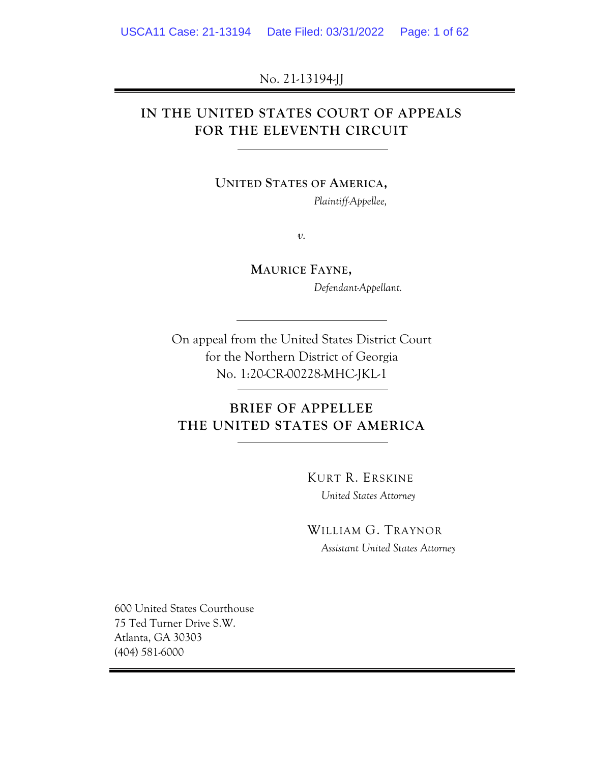No. 21-13194-JJ

## **IN THE UNITED STATES COURT OF APPEALS FOR THE ELEVENTH CIRCUIT**

**UNITED STATES OF AMERICA,**

*Plaintiff-Appellee,*

*v.*

**MAURICE FAYNE,** *Defendant-Appellant.*

On appeal from the United States District Court for the Northern District of Georgia No. 1:20-CR-00228-MHC-JKL-1

# **BRIEF OF APPELLEE THE UNITED STATES OF AMERICA**

KURT R. ERSKINE *United States Attorney*

WILLIAM G. TRAYNOR *Assistant United States Attorney*

600 United States Courthouse 75 Ted Turner Drive S.W. Atlanta, GA 30303 (404) 581-6000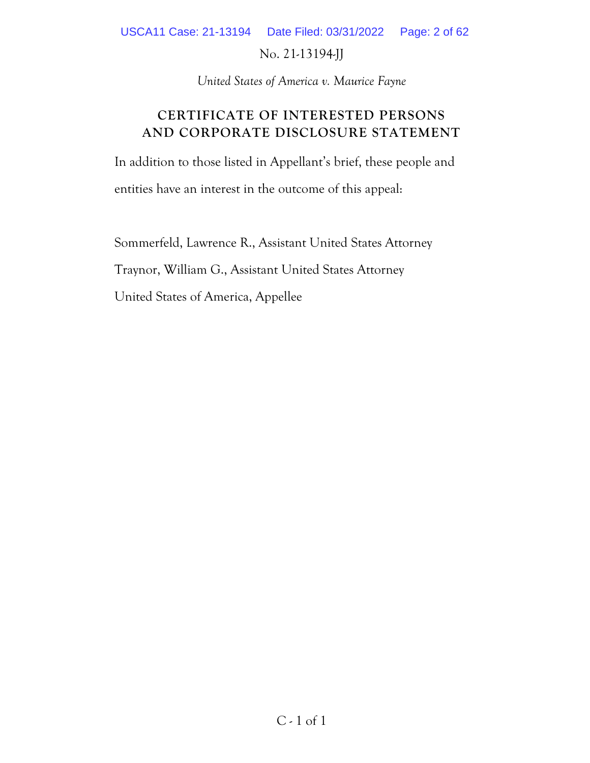USCA11 Case: 21-13194 Date Filed: 03/31/2022 Page: 2 of 62

No. 21-13194-JJ

*United States of America v. Maurice Fayne*

## **CERTIFICATE OF INTERESTED PERSONS AND CORPORATE DISCLOSURE STATEMENT**

In addition to those listed in Appellant's brief, these people and entities have an interest in the outcome of this appeal:

Sommerfeld, Lawrence R., Assistant United States Attorney Traynor, William G., Assistant United States Attorney United States of America, Appellee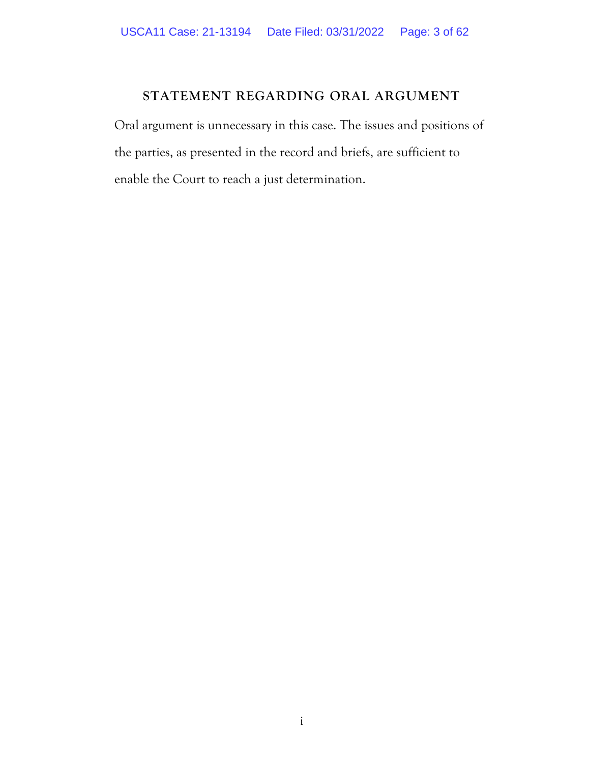### **STATEMENT REGARDING ORAL ARGUMENT**

Oral argument is unnecessary in this case. The issues and positions of the parties, as presented in the record and briefs, are sufficient to enable the Court to reach a just determination.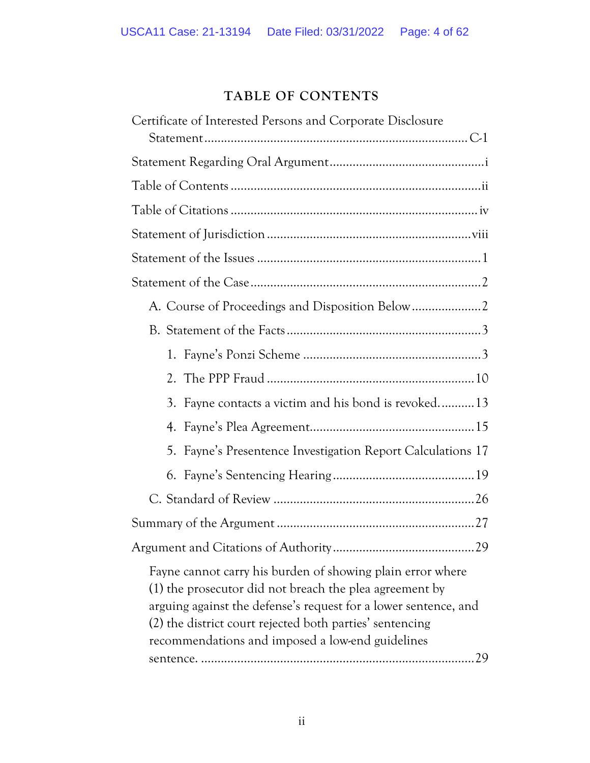# **TABLE OF CONTENTS**

| Certificate of Interested Persons and Corporate Disclosure                                                                                                                                                                                                                                                     |
|----------------------------------------------------------------------------------------------------------------------------------------------------------------------------------------------------------------------------------------------------------------------------------------------------------------|
|                                                                                                                                                                                                                                                                                                                |
|                                                                                                                                                                                                                                                                                                                |
|                                                                                                                                                                                                                                                                                                                |
|                                                                                                                                                                                                                                                                                                                |
|                                                                                                                                                                                                                                                                                                                |
|                                                                                                                                                                                                                                                                                                                |
|                                                                                                                                                                                                                                                                                                                |
|                                                                                                                                                                                                                                                                                                                |
|                                                                                                                                                                                                                                                                                                                |
|                                                                                                                                                                                                                                                                                                                |
|                                                                                                                                                                                                                                                                                                                |
| 3. Fayne contacts a victim and his bond is revoked13                                                                                                                                                                                                                                                           |
| 4.                                                                                                                                                                                                                                                                                                             |
| Fayne's Presentence Investigation Report Calculations 17<br>5.                                                                                                                                                                                                                                                 |
|                                                                                                                                                                                                                                                                                                                |
|                                                                                                                                                                                                                                                                                                                |
|                                                                                                                                                                                                                                                                                                                |
|                                                                                                                                                                                                                                                                                                                |
| Fayne cannot carry his burden of showing plain error where<br>(1) the prosecutor did not breach the plea agreement by<br>arguing against the defense's request for a lower sentence, and<br>(2) the district court rejected both parties' sentencing<br>recommendations and imposed a low-end guidelines<br>29 |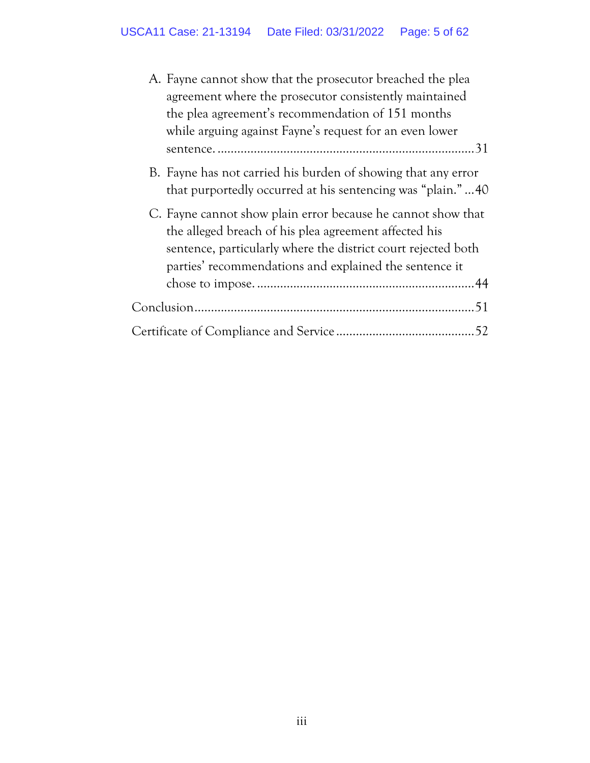| A. Fayne cannot show that the prosecutor breached the plea                                                                                                                                                                                       |
|--------------------------------------------------------------------------------------------------------------------------------------------------------------------------------------------------------------------------------------------------|
| agreement where the prosecutor consistently maintained                                                                                                                                                                                           |
| the plea agreement's recommendation of 151 months                                                                                                                                                                                                |
| while arguing against Fayne's request for an even lower                                                                                                                                                                                          |
|                                                                                                                                                                                                                                                  |
| B. Fayne has not carried his burden of showing that any error<br>that purportedly occurred at his sentencing was "plain."40                                                                                                                      |
| C. Fayne cannot show plain error because he cannot show that<br>the alleged breach of his plea agreement affected his<br>sentence, particularly where the district court rejected both<br>parties' recommendations and explained the sentence it |
|                                                                                                                                                                                                                                                  |
|                                                                                                                                                                                                                                                  |
|                                                                                                                                                                                                                                                  |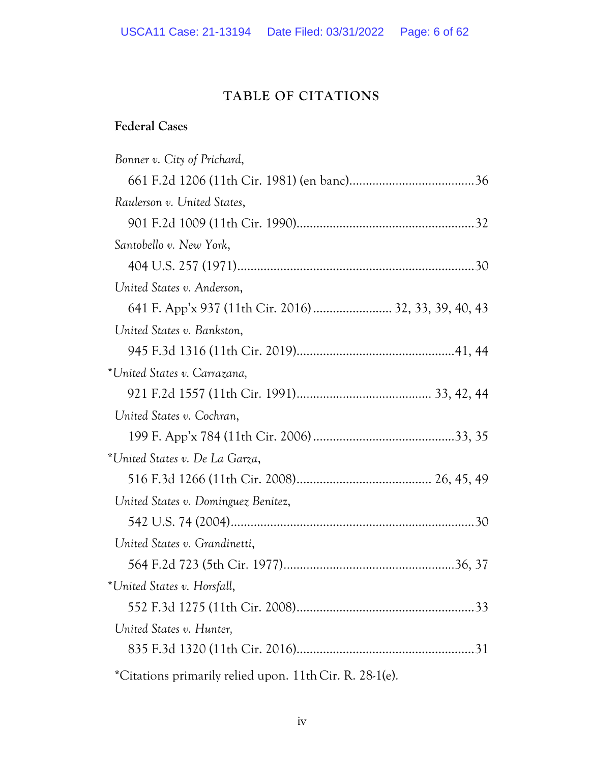## **TABLE OF CITATIONS**

## **Federal Cases**

| Bonner v. City of Prichard,                             |  |
|---------------------------------------------------------|--|
|                                                         |  |
| Raulerson v. United States,                             |  |
|                                                         |  |
| Santobello v. New York,                                 |  |
|                                                         |  |
| United States v. Anderson,                              |  |
| 641 F. App'x 937 (11th Cir. 2016)  32, 33, 39, 40, 43   |  |
| United States v. Bankston,                              |  |
|                                                         |  |
| *United States v. Carrazana,                            |  |
|                                                         |  |
| United States v. Cochran,                               |  |
|                                                         |  |
| *United States v. De La Garza,                          |  |
|                                                         |  |
| United States v. Dominguez Benitez,                     |  |
|                                                         |  |
| United States v. Grandinetti,                           |  |
|                                                         |  |
| *United States v. Horsfall,                             |  |
|                                                         |  |
| United States v. Hunter,                                |  |
|                                                         |  |
| *Citations primarily relied upon. 11th Cir. R. 28-1(e). |  |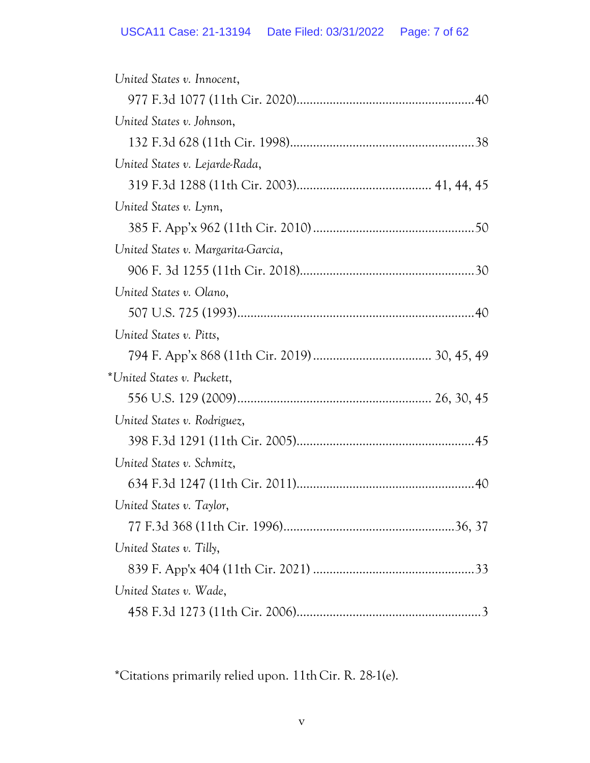| United States v. Innocent,         |
|------------------------------------|
|                                    |
| United States v. Johnson,          |
|                                    |
| United States v. Lejarde-Rada,     |
|                                    |
| United States v. Lynn,             |
|                                    |
| United States v. Margarita-Garcia, |
|                                    |
| United States v. Olano,            |
|                                    |
| United States v. Pitts,            |
|                                    |
| *United States v. Puckett,         |
|                                    |
| United States v. Rodriguez,        |
|                                    |
| United States v. Schmitz,          |
|                                    |
| United States v. Taylor,           |
|                                    |
| United States v. Tilly,            |
|                                    |
| United States v. Wade,             |
|                                    |

\*Citations primarily relied upon. 11th Cir. R. 28-1(e).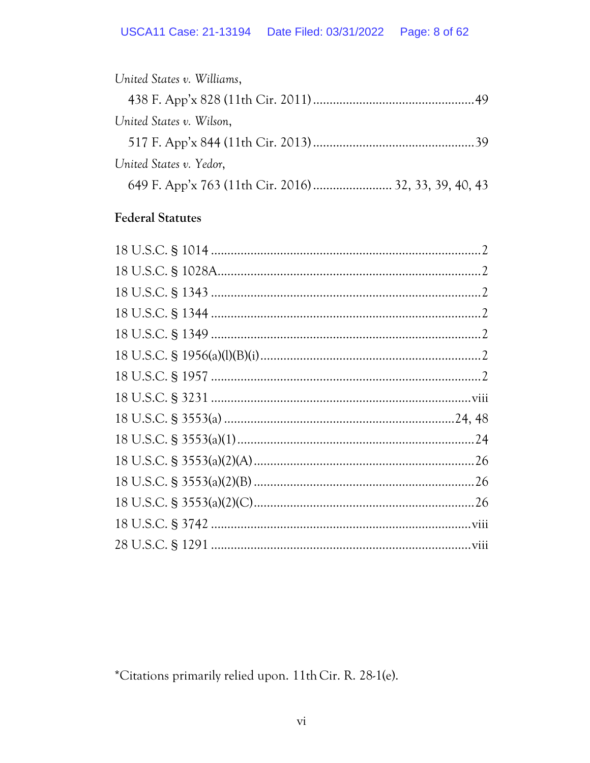| United States v. Williams, |
|----------------------------|
|                            |
| United States v. Wilson,   |
|                            |
| United States v. Yedor,    |
|                            |

## **Federal Statutes**

\*Citations primarily relied upon. 11th Cir. R. 28-1(e).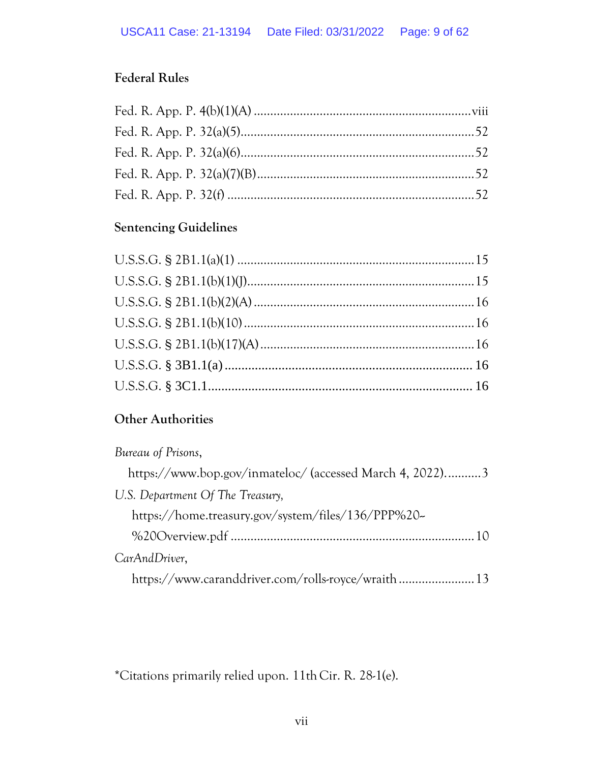# **Federal Rules**

## **Sentencing Guidelines**

## **Other Authorities**

| Bureau of Prisons,                                       |
|----------------------------------------------------------|
| https://www.bop.gov/inmateloc/ (accessed March 4, 2022)3 |
| U.S. Department Of The Treasury,                         |
| https://home.treasury.gov/system/files/136/PPP%20-       |
|                                                          |
| CarAndDriver,                                            |
| https://www.caranddriver.com/rolls-royce/wraith 13       |

\*Citations primarily relied upon. 11th Cir. R. 28-1(e).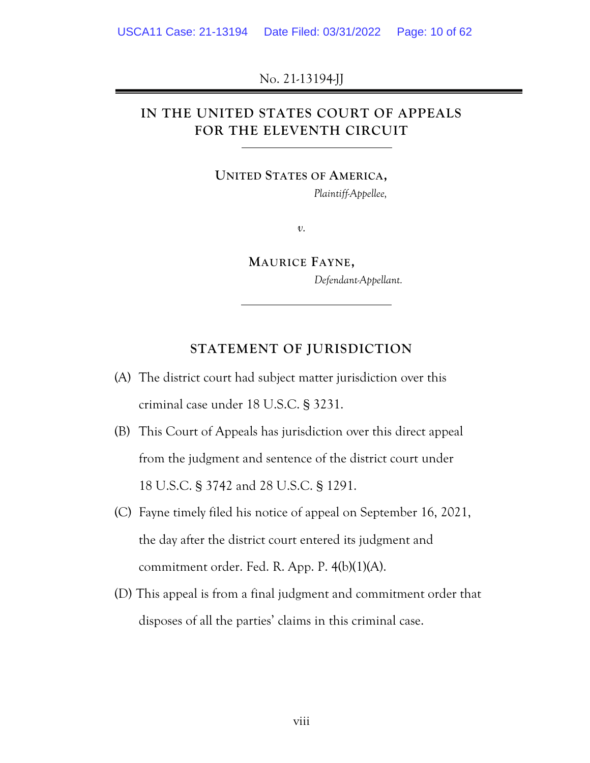No. 21-13194-JJ

## **IN THE UNITED STATES COURT OF APPEALS FOR THE ELEVENTH CIRCUIT**

**UNITED STATES OF AMERICA,**

*Plaintiff-Appellee,*

*v.*

**MAURICE FAYNE,** *Defendant-Appellant.*

### **STATEMENT OF JURISDICTION**

- (A) The district court had subject matter jurisdiction over this criminal case under 18 U.S.C. § 3231.
- (B) This Court of Appeals has jurisdiction over this direct appeal from the judgment and sentence of the district court under 18 U.S.C. § 3742 and 28 U.S.C. § 1291.
- (C) Fayne timely filed his notice of appeal on September 16, 2021, the day after the district court entered its judgment and commitment order. Fed. R. App. P. 4(b)(1)(A).
- (D) This appeal is from a final judgment and commitment order that disposes of all the parties' claims in this criminal case.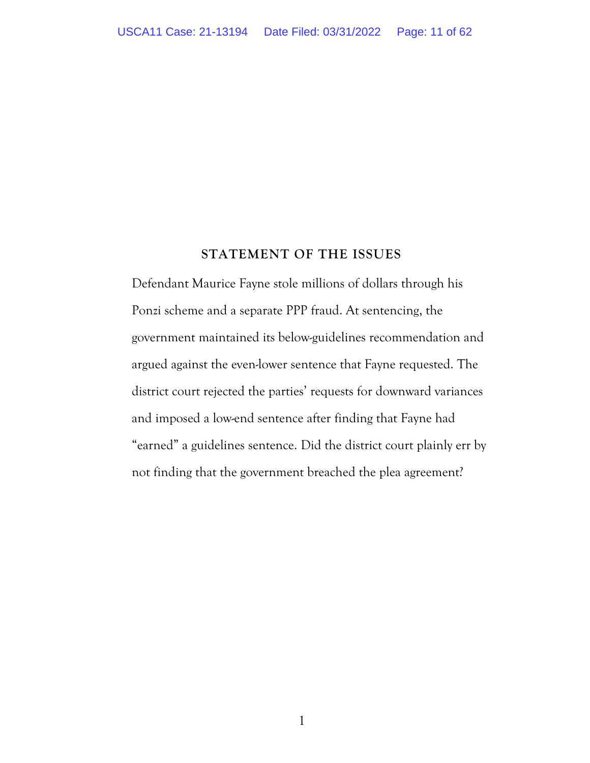#### **STATEMENT OF THE ISSUES**

Defendant Maurice Fayne stole millions of dollars through his Ponzi scheme and a separate PPP fraud. At sentencing, the government maintained its below-guidelines recommendation and argued against the even-lower sentence that Fayne requested. The district court rejected the parties' requests for downward variances and imposed a low-end sentence after finding that Fayne had "earned" a guidelines sentence. Did the district court plainly err by not finding that the government breached the plea agreement?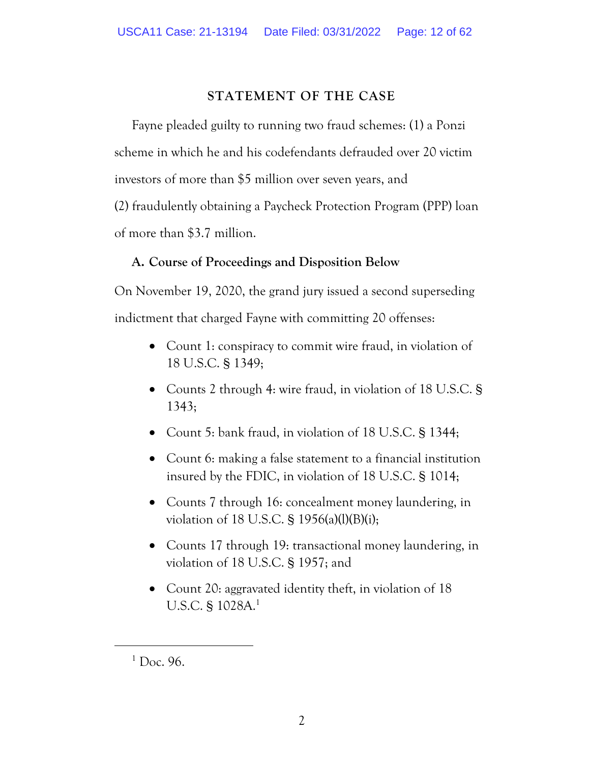### **STATEMENT OF THE CASE**

Fayne pleaded guilty to running two fraud schemes: (1) a Ponzi scheme in which he and his codefendants defrauded over 20 victim investors of more than \$5 million over seven years, and (2) fraudulently obtaining a Paycheck Protection Program (PPP) loan of more than \$3.7 million.

### **A. Course of Proceedings and Disposition Below**

On November 19, 2020, the grand jury issued a second superseding indictment that charged Fayne with committing 20 offenses:

- Count 1: conspiracy to commit wire fraud, in violation of 18 U.S.C. § 1349;
- Counts 2 through 4: wire fraud, in violation of 18 U.S.C. § 1343;
- Count 5: bank fraud, in violation of 18 U.S.C. § 1344;
- Count 6: making a false statement to a financial institution insured by the FDIC, in violation of 18 U.S.C. § 1014;
- Counts 7 through 16: concealment money laundering, in violation of 18 U.S.C. § 1956(a)(l)(B)(i);
- Counts 17 through 19: transactional money laundering, in violation of 18 U.S.C. § 1957; and
- Count 20: aggravated identity theft, in violation of 18 U.S.C. § 1028A.<sup>1</sup>

 $1$  Doc. 96.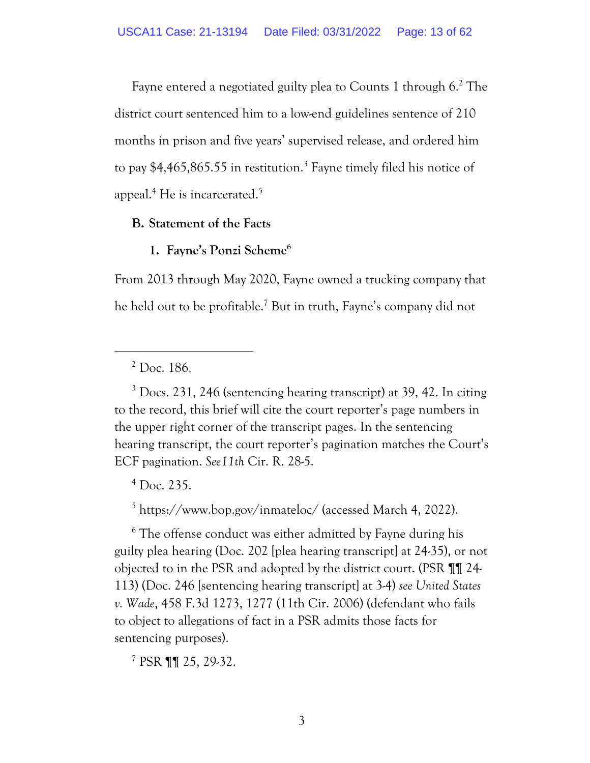Fayne entered a negotiated guilty plea to Counts 1 through 6.<sup>2</sup> The district court sentenced him to a low-end guidelines sentence of 210 months in prison and five years' supervised release, and ordered him to pay  $$4,465,865.55$  in restitution.<sup>3</sup> Fayne timely filed his notice of appeal.<sup>4</sup> He is incarcerated.<sup>5</sup>

### **B. Statement of the Facts**

### **1. Fayne's Ponzi Scheme<sup>6</sup>**

From 2013 through May 2020, Fayne owned a trucking company that he held out to be profitable. <sup>7</sup> But in truth, Fayne's company did not

 $3$  Docs. 231, 246 (sentencing hearing transcript) at 39, 42. In citing to the record, this brief will cite the court reporter's page numbers in the upper right corner of the transcript pages. In the sentencing hearing transcript, the court reporter's pagination matches the Court's ECF pagination. *See11th* Cir. R. 28-5.

 $<sup>4</sup>$  Doc. 235.</sup>

<sup>5</sup> https://www.bop.gov/inmateloc/ (accessed March 4, 2022).

<sup>6</sup> The offense conduct was either admitted by Fayne during his guilty plea hearing (Doc. 202 [plea hearing transcript] at 24-35), or not objected to in the PSR and adopted by the district court. (PSR ¶¶ 24- 113) (Doc. 246 [sentencing hearing transcript] at 3-4) *see United States v. Wade*, 458 F.3d 1273, 1277 (11th Cir. 2006) (defendant who fails to object to allegations of fact in a PSR admits those facts for sentencing purposes).

<sup>7</sup> PSR ¶¶ 25, 29-32.

 $2$  Doc. 186.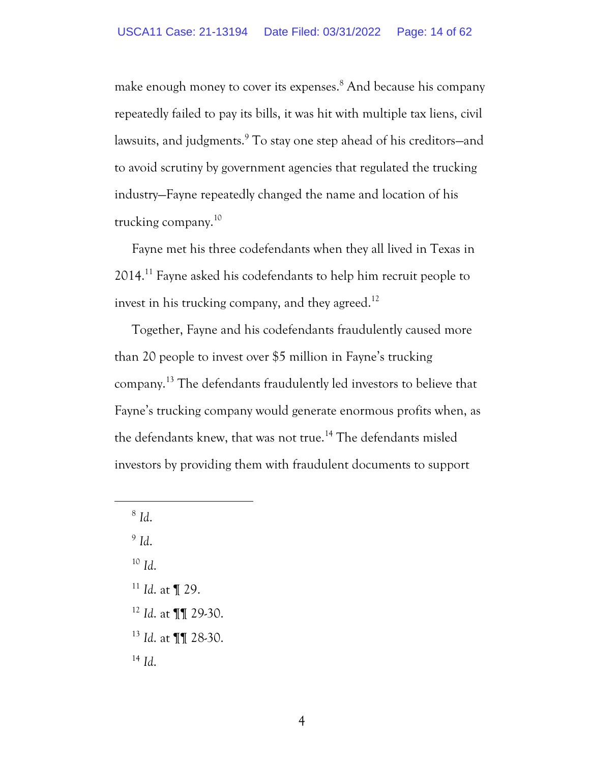make enough money to cover its expenses.<sup>8</sup> And because his company repeatedly failed to pay its bills, it was hit with multiple tax liens, civil lawsuits, and judgments.<sup>9</sup> To stay one step ahead of his creditors—and to avoid scrutiny by government agencies that regulated the trucking industry—Fayne repeatedly changed the name and location of his trucking company.<sup>10</sup>

Fayne met his three codefendants when they all lived in Texas in 2014. <sup>11</sup> Fayne asked his codefendants to help him recruit people to invest in his trucking company, and they agreed.<sup>12</sup>

Together, Fayne and his codefendants fraudulently caused more than 20 people to invest over \$5 million in Fayne's trucking company.<sup>13</sup> The defendants fraudulently led investors to believe that Fayne's trucking company would generate enormous profits when, as the defendants knew, that was not true.<sup>14</sup> The defendants misled investors by providing them with fraudulent documents to support

8 *Id*.

9 *Id*.

<sup>10</sup> *Id*.

- <sup>11</sup> *Id*. at ¶ 29.
- <sup>12</sup> *Id*. at ¶¶ 29-30.
- <sup>13</sup> *Id*. at ¶¶ 28-30.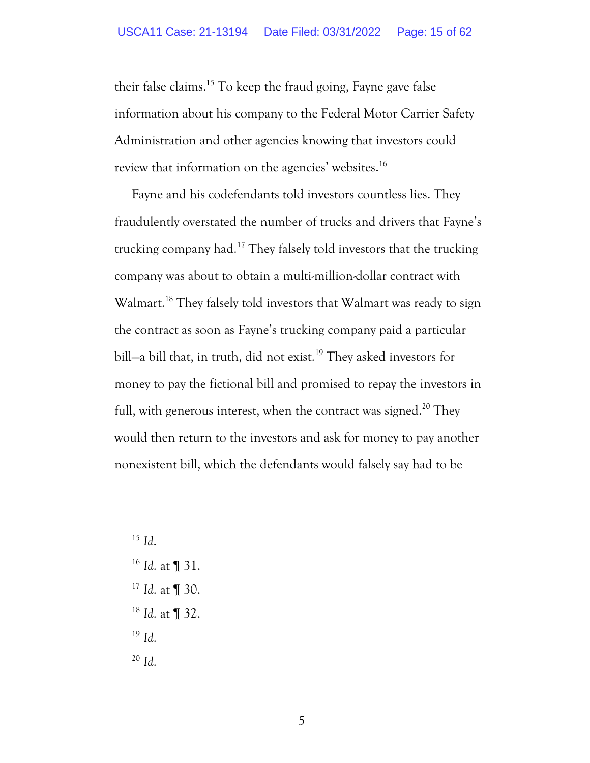their false claims. <sup>15</sup> To keep the fraud going, Fayne gave false information about his company to the Federal Motor Carrier Safety Administration and other agencies knowing that investors could review that information on the agencies' websites.<sup>16</sup>

Fayne and his codefendants told investors countless lies. They fraudulently overstated the number of trucks and drivers that Fayne's trucking company had.<sup>17</sup> They falsely told investors that the trucking company was about to obtain a multi-million-dollar contract with Walmart.<sup>18</sup> They falsely told investors that Walmart was ready to sign the contract as soon as Fayne's trucking company paid a particular bill-a bill that, in truth, did not exist.<sup>19</sup> They asked investors for money to pay the fictional bill and promised to repay the investors in full, with generous interest, when the contract was signed.<sup>20</sup> They would then return to the investors and ask for money to pay another nonexistent bill, which the defendants would falsely say had to be

- <sup>16</sup> *Id*. at ¶ 31.
- <sup>17</sup> *Id*. at ¶ 30.
- <sup>18</sup> *Id*. at ¶ 32.
- <sup>19</sup> *Id*.
- <sup>20</sup> *Id*.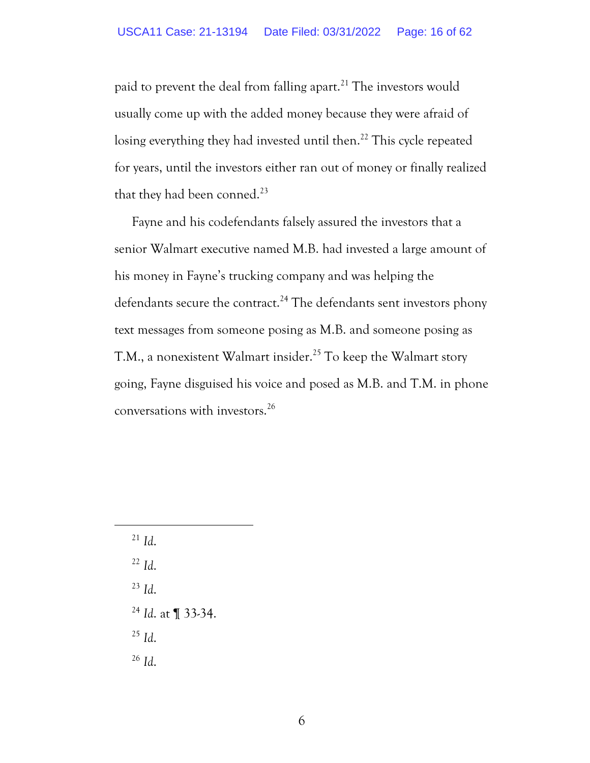paid to prevent the deal from falling apart.<sup>21</sup> The investors would usually come up with the added money because they were afraid of losing everything they had invested until then.<sup>22</sup> This cycle repeated for years, until the investors either ran out of money or finally realized that they had been conned.<sup>23</sup>

Fayne and his codefendants falsely assured the investors that a senior Walmart executive named M.B. had invested a large amount of his money in Fayne's trucking company and was helping the defendants secure the contract.<sup>24</sup> The defendants sent investors phony text messages from someone posing as M.B. and someone posing as T.M., a nonexistent Walmart insider.<sup>25</sup> To keep the Walmart story going, Fayne disguised his voice and posed as M.B. and T.M. in phone conversations with investors.<sup>26</sup>

 $^{21}$  *Id.* 

<sup>22</sup> *Id*.

<sup>23</sup> *Id*.

<sup>24</sup> *Id*. at ¶ 33-34.

<sup>25</sup> *Id*.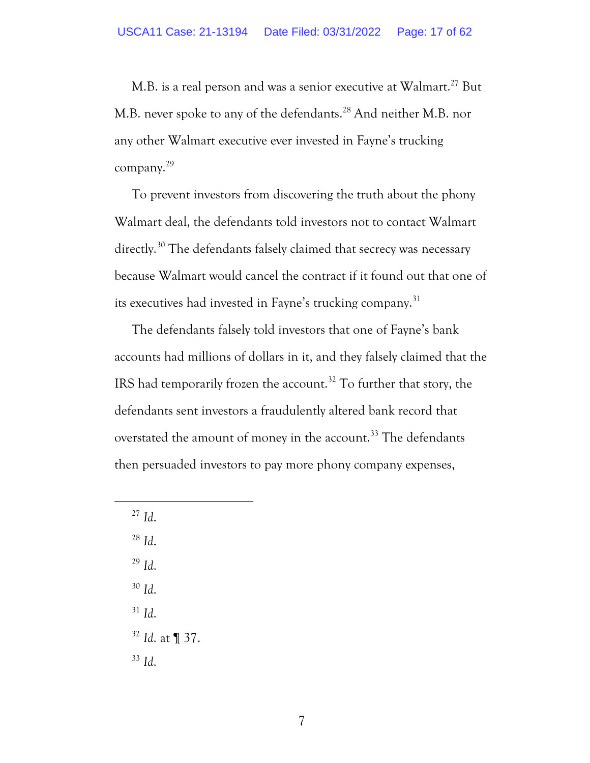M.B. is a real person and was a senior executive at Walmart.<sup>27</sup> But M.B. never spoke to any of the defendants.<sup>28</sup> And neither M.B. nor any other Walmart executive ever invested in Fayne's trucking company.<sup>29</sup>

To prevent investors from discovering the truth about the phony Walmart deal, the defendants told investors not to contact Walmart directly.<sup>30</sup> The defendants falsely claimed that secrecy was necessary because Walmart would cancel the contract if it found out that one of its executives had invested in Fayne's trucking company.<sup>31</sup>

The defendants falsely told investors that one of Fayne's bank accounts had millions of dollars in it, and they falsely claimed that the IRS had temporarily frozen the account.<sup>32</sup> To further that story, the defendants sent investors a fraudulently altered bank record that overstated the amount of money in the account.<sup>33</sup> The defendants then persuaded investors to pay more phony company expenses,

<sup>27</sup> *Id*.

<sup>28</sup> *Id*.

<sup>29</sup> *Id*.

<sup>30</sup> *Id*.

<sup>31</sup> *Id*.

<sup>32</sup> *Id*. at ¶ 37.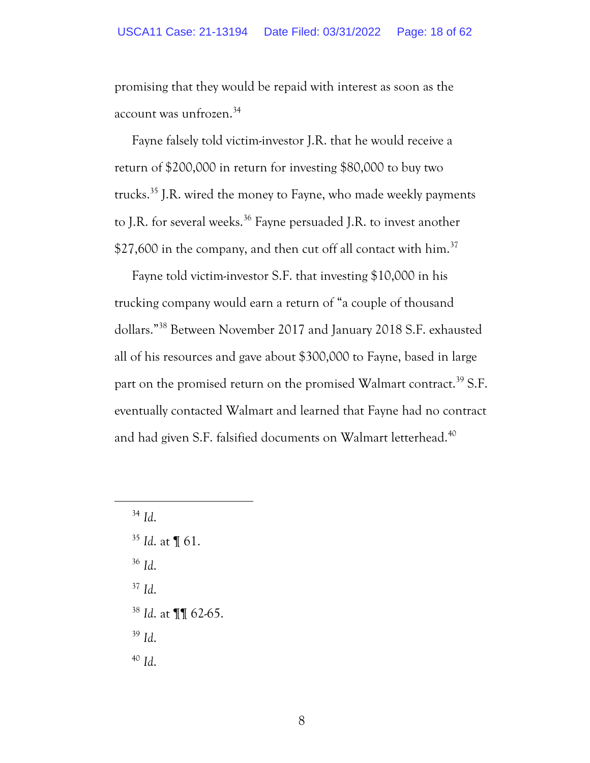promising that they would be repaid with interest as soon as the account was unfrozen.<sup>34</sup>

Fayne falsely told victim-investor J.R. that he would receive a return of \$200,000 in return for investing \$80,000 to buy two trucks.<sup>35</sup> J.R. wired the money to Fayne, who made weekly payments to J.R. for several weeks.<sup>36</sup> Fayne persuaded J.R. to invest another \$27,600 in the company, and then cut off all contact with  $\text{him.}^{37}$ 

Fayne told victim-investor S.F. that investing \$10,000 in his trucking company would earn a return of "a couple of thousand dollars."<sup>38</sup> Between November 2017 and January 2018 S.F. exhausted all of his resources and gave about \$300,000 to Fayne, based in large part on the promised return on the promised Walmart contract.<sup>39</sup> S.F. eventually contacted Walmart and learned that Fayne had no contract and had given S.F. falsified documents on Walmart letterhead.<sup>40</sup>

<sup>34</sup> *Id*.

<sup>35</sup> *Id*. at ¶ 61.

<sup>36</sup> *Id*.

<sup>37</sup> *Id*.

<sup>38</sup> *Id*. at ¶¶ 62-65.

<sup>39</sup> *Id*.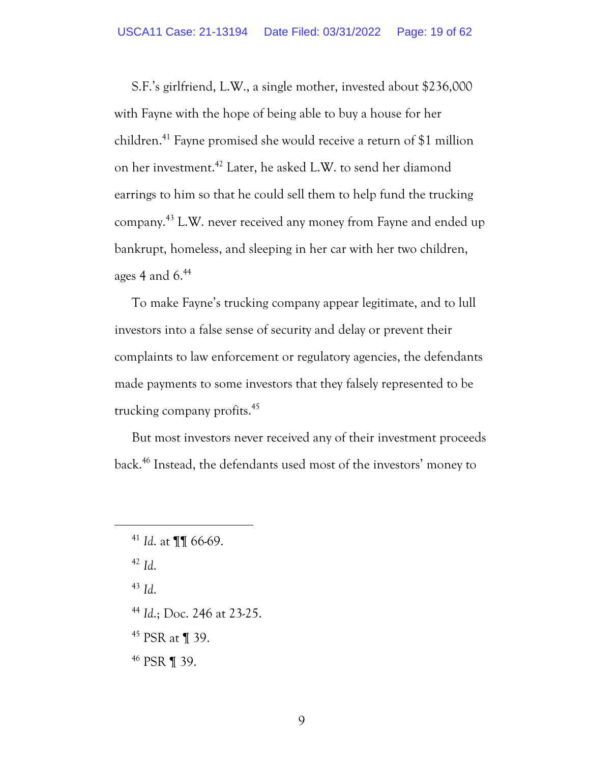S.F.'s girlfriend, L.W., a single mother, invested about \$236,000 with Fayne with the hope of being able to buy a house for her children.<sup>41</sup> Fayne promised she would receive a return of \$1 million on her investment.<sup>42</sup> Later, he asked L.W. to send her diamond earrings to him so that he could sell them to help fund the trucking company.<sup>43</sup> L.W. never received any money from Fayne and ended up bankrupt, homeless, and sleeping in her car with her two children, ages 4 and 6. 44

To make Fayne's trucking company appear legitimate, and to lull investors into a false sense of security and delay or prevent their complaints to law enforcement or regulatory agencies, the defendants made payments to some investors that they falsely represented to be trucking company profits.<sup>45</sup>

But most investors never received any of their investment proceeds back.<sup>46</sup> Instead, the defendants used most of the investors' money to

<sup>42</sup> *Id*.

<sup>43</sup> *Id*.

<sup>44</sup> *Id*.; Doc. 246 at 23-25.

<sup>45</sup> PSR at ¶ 39.

<sup>46</sup> PSR ¶ 39.

<sup>41</sup> *Id*. at ¶¶ 66-69.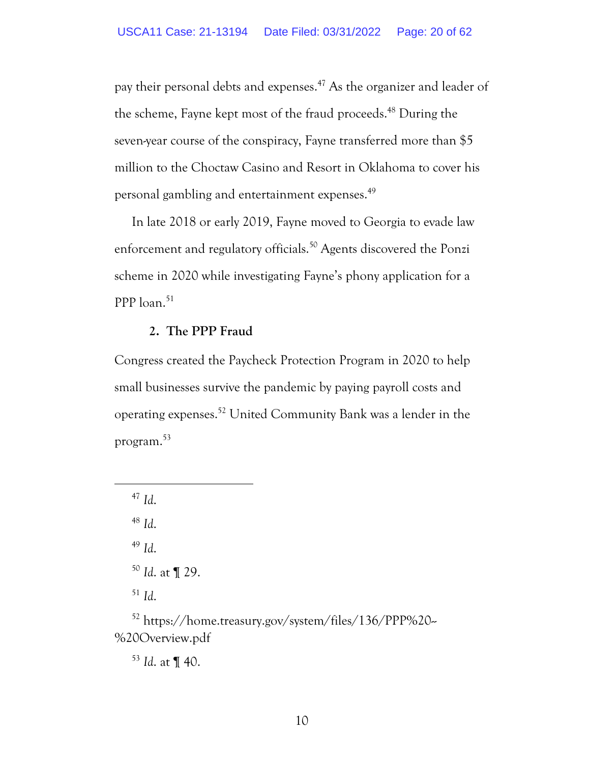pay their personal debts and expenses.<sup>47</sup> As the organizer and leader of the scheme, Fayne kept most of the fraud proceeds.<sup>48</sup> During the seven-year course of the conspiracy, Fayne transferred more than \$5 million to the Choctaw Casino and Resort in Oklahoma to cover his personal gambling and entertainment expenses.<sup>49</sup>

In late 2018 or early 2019, Fayne moved to Georgia to evade law enforcement and regulatory officials.<sup>50</sup> Agents discovered the Ponzi scheme in 2020 while investigating Fayne's phony application for a PPP loan. 51

#### **2. The PPP Fraud**

Congress created the Paycheck Protection Program in 2020 to help small businesses survive the pandemic by paying payroll costs and operating expenses. <sup>52</sup> United Community Bank was a lender in the program. 53

<sup>47</sup> *Id*. <sup>48</sup> *Id*. <sup>49</sup> *Id*. <sup>50</sup> *Id*. at ¶ 29. <sup>51</sup> *Id*.

<sup>52</sup> https://home.treasury.gov/system/files/136/PPP%20-- %20Overview.pdf

<sup>53</sup> *Id*. at ¶ 40.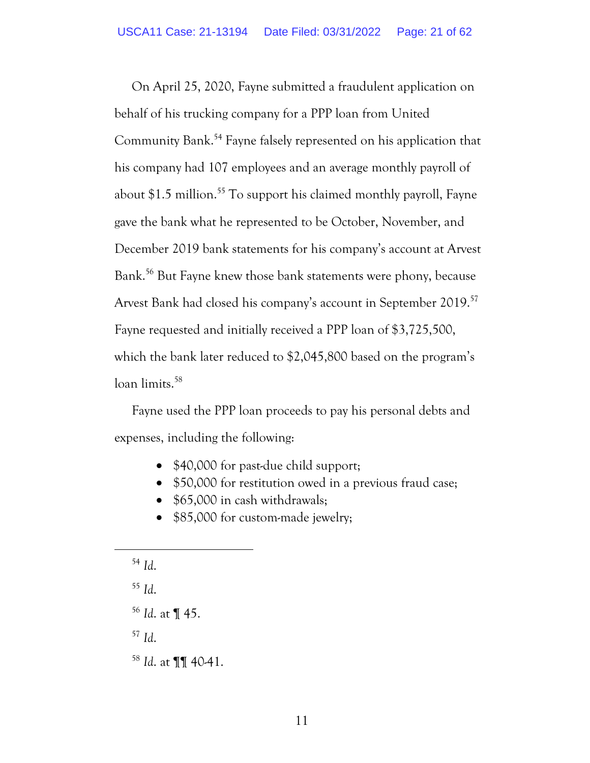On April 25, 2020, Fayne submitted a fraudulent application on behalf of his trucking company for a PPP loan from United Community Bank.<sup>54</sup> Fayne falsely represented on his application that his company had 107 employees and an average monthly payroll of about  $$1.5$  million.<sup>55</sup> To support his claimed monthly payroll, Fayne gave the bank what he represented to be October, November, and December 2019 bank statements for his company's account at Arvest Bank.<sup>56</sup> But Fayne knew those bank statements were phony, because Arvest Bank had closed his company's account in September 2019.<sup>57</sup> Fayne requested and initially received a PPP loan of \$3,725,500, which the bank later reduced to \$2,045,800 based on the program's loan limits. 58

Fayne used the PPP loan proceeds to pay his personal debts and expenses, including the following:

- \$40,000 for past-due child support;
- \$50,000 for restitution owed in a previous fraud case;
- \$65,000 in cash withdrawals;
- \$85,000 for custom-made jewelry;
- <sup>54</sup> *Id*.
- <sup>55</sup> *Id*.
- <sup>56</sup> *Id*. at ¶ 45.
- <sup>57</sup> *Id*.
- <sup>58</sup> *Id*. at ¶¶ 40-41.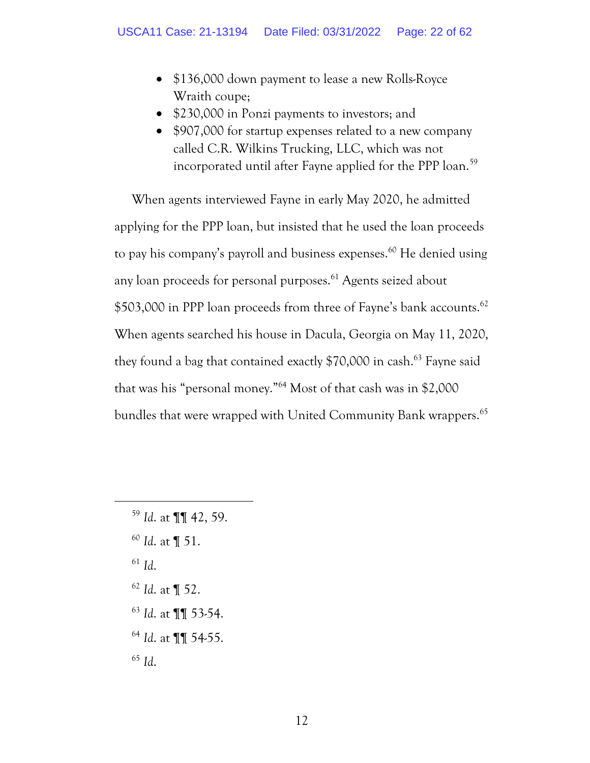- \$136,000 down payment to lease a new Rolls-Royce Wraith coupe;
- \$230,000 in Ponzi payments to investors; and
- \$907,000 for startup expenses related to a new company called C.R. Wilkins Trucking, LLC, which was not incorporated until after Fayne applied for the PPP loan.<sup>59</sup>

When agents interviewed Fayne in early May 2020, he admitted applying for the PPP loan, but insisted that he used the loan proceeds to pay his company's payroll and business expenses.<sup>60</sup> He denied using any loan proceeds for personal purposes.<sup>61</sup> Agents seized about \$503,000 in PPP loan proceeds from three of Fayne's bank accounts.<sup>62</sup> When agents searched his house in Dacula, Georgia on May 11, 2020, they found a bag that contained exactly \$70,000 in cash. <sup>63</sup> Fayne said that was his "personal money."<sup>64</sup> Most of that cash was in \$2,000 bundles that were wrapped with United Community Bank wrappers.<sup>65</sup>

 *Id*. at ¶¶ 42, 59. *Id*. at ¶ 51. <sup>61</sup> *Id*. *Id*. at ¶ 52. *Id*. at ¶¶ 53-54. *Id*. at ¶¶ 54-55. <sup>65</sup> *Id*.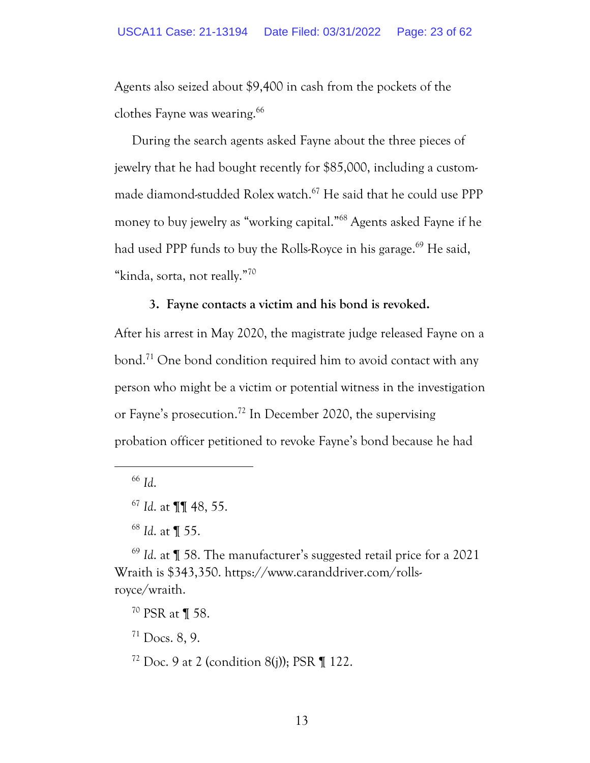Agents also seized about \$9,400 in cash from the pockets of the clothes Fayne was wearing.<sup>66</sup>

During the search agents asked Fayne about the three pieces of jewelry that he had bought recently for \$85,000, including a custommade diamond-studded Rolex watch.<sup>67</sup> He said that he could use PPP money to buy jewelry as "working capital." <sup>68</sup> Agents asked Fayne if he had used PPP funds to buy the Rolls-Royce in his garage.<sup>69</sup> He said, "kinda, sorta, not really."<sup>70</sup>

### **3. Fayne contacts a victim and his bond is revoked.**

After his arrest in May 2020, the magistrate judge released Fayne on a bond.<sup>71</sup> One bond condition required him to avoid contact with any person who might be a victim or potential witness in the investigation or Fayne's prosecution.<sup>72</sup> In December 2020, the supervising probation officer petitioned to revoke Fayne's bond because he had

<sup>66</sup> *Id*.

<sup>69</sup> *Id*. at ¶ 58. The manufacturer's suggested retail price for a 2021 Wraith is \$343,350. https://www.caranddriver.com/rollsroyce/wraith.

<sup>71</sup> Docs. 8, 9.

<sup>67</sup> *Id*. at ¶¶ 48, 55.

<sup>68</sup> *Id*. at ¶ 55.

<sup>70</sup> PSR at ¶ 58.

 $72$  Doc. 9 at 2 (condition 8(j)); PSR  $\P$  122.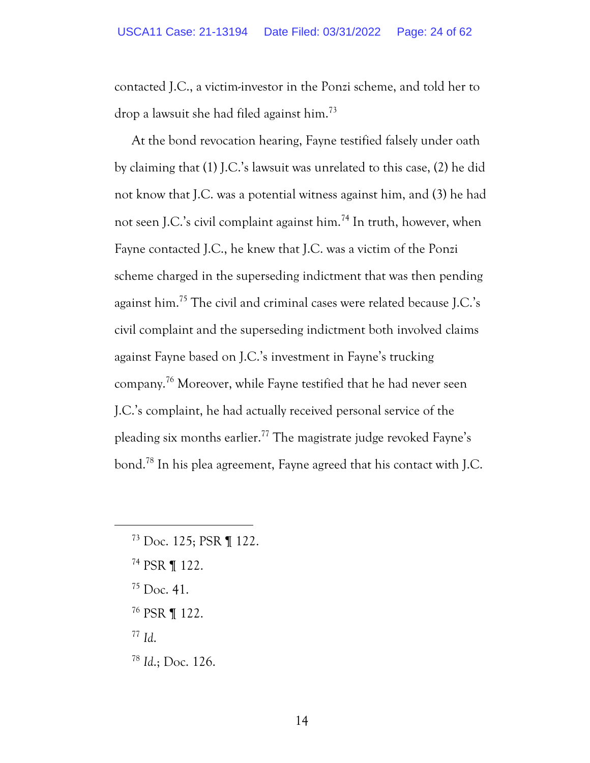contacted J.C., a victim-investor in the Ponzi scheme, and told her to drop a lawsuit she had filed against him.<sup>73</sup>

At the bond revocation hearing, Fayne testified falsely under oath by claiming that (1) J.C.'s lawsuit was unrelated to this case, (2) he did not know that J.C. was a potential witness against him, and (3) he had not seen J.C.'s civil complaint against him.<sup>74</sup> In truth, however, when Fayne contacted J.C., he knew that J.C. was a victim of the Ponzi scheme charged in the superseding indictment that was then pending against him.<sup>75</sup> The civil and criminal cases were related because J.C.'s civil complaint and the superseding indictment both involved claims against Fayne based on J.C.'s investment in Fayne's trucking company.<sup>76</sup> Moreover, while Fayne testified that he had never seen J.C.'s complaint, he had actually received personal service of the pleading six months earlier.<sup>77</sup> The magistrate judge revoked Fayne's bond.<sup>78</sup> In his plea agreement, Fayne agreed that his contact with J.C.

- <sup>73</sup> Doc. 125; PSR ¶ 122.
- <sup>74</sup> PSR ¶ 122.
- $^{75}$  Doc. 41.
- <sup>76</sup> PSR ¶ 122.
- <sup>77</sup> *Id*.
- <sup>78</sup> *Id*.; Doc. 126.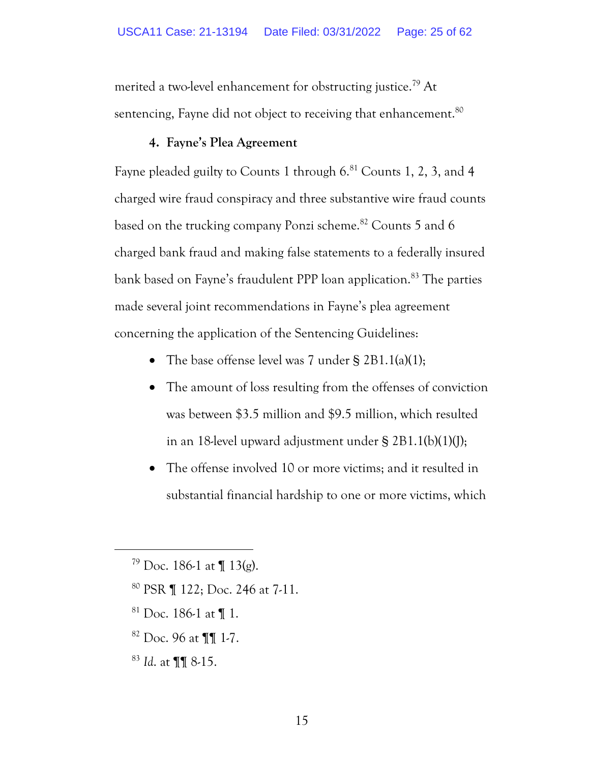merited a two-level enhancement for obstructing justice.<sup>79</sup> At sentencing, Fayne did not object to receiving that enhancement. $^{\rm 80}$ 

### **4. Fayne's Plea Agreement**

Fayne pleaded guilty to Counts 1 through  $6^{81}$  Counts 1, 2, 3, and 4 charged wire fraud conspiracy and three substantive wire fraud counts based on the trucking company Ponzi scheme.<sup>82</sup> Counts 5 and 6 charged bank fraud and making false statements to a federally insured bank based on Fayne's fraudulent PPP loan application.<sup>83</sup> The parties made several joint recommendations in Fayne's plea agreement concerning the application of the Sentencing Guidelines:

- The base offense level was 7 under § 2B1.1(a)(1);
- The amount of loss resulting from the offenses of conviction was between \$3.5 million and \$9.5 million, which resulted in an 18-level upward adjustment under § 2B1.1(b)(1)(J);
- The offense involved 10 or more victims; and it resulted in substantial financial hardship to one or more victims, which

- <sup>80</sup> PSR ¶ 122; Doc. 246 at 7-11.
- $81$  Doc. 186-1 at  $\P$  1.
- <sup>82</sup> Doc. 96 at ¶¶ 1-7.
- <sup>83</sup> *Id*. at ¶¶ 8-15.

 $79$  Doc. 186-1 at  $\P$  13(g).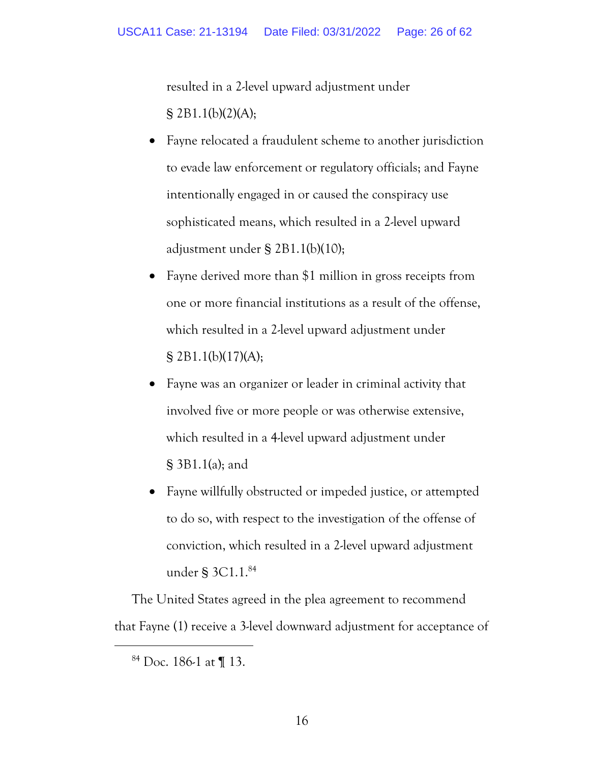resulted in a 2-level upward adjustment under § 2B1.1(b)(2)(A);

- Fayne relocated a fraudulent scheme to another jurisdiction to evade law enforcement or regulatory officials; and Fayne intentionally engaged in or caused the conspiracy use sophisticated means, which resulted in a 2-level upward adjustment under § 2B1.1(b)(10);
- Fayne derived more than \$1 million in gross receipts from one or more financial institutions as a result of the offense, which resulted in a 2-level upward adjustment under § 2B1.1(b)(17)(A);
- Fayne was an organizer or leader in criminal activity that involved five or more people or was otherwise extensive, which resulted in a 4-level upward adjustment under § 3B1.1(a); and
- Fayne willfully obstructed or impeded justice, or attempted to do so, with respect to the investigation of the offense of conviction, which resulted in a 2-level upward adjustment under § 3C1.1. 84

The United States agreed in the plea agreement to recommend that Fayne (1) receive a 3-level downward adjustment for acceptance of

 $84$  Doc. 186-1 at ¶ 13.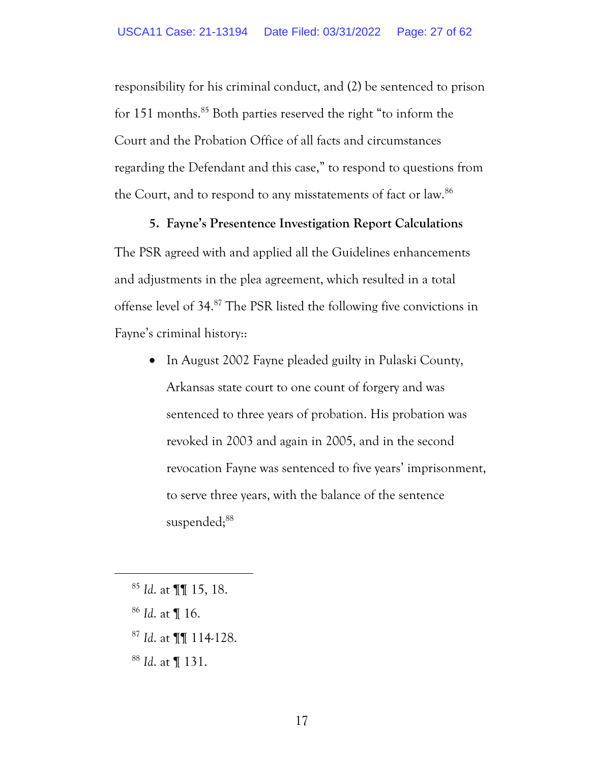responsibility for his criminal conduct, and (2) be sentenced to prison for 151 months. <sup>85</sup> Both parties reserved the right "to inform the Court and the Probation Office of all facts and circumstances regarding the Defendant and this case," to respond to questions from the Court, and to respond to any misstatements of fact or law.<sup>86</sup>

#### **5. Fayne's Presentence Investigation Report Calculations**

The PSR agreed with and applied all the Guidelines enhancements and adjustments in the plea agreement, which resulted in a total offense level of 34.<sup>87</sup> The PSR listed the following five convictions in Fayne's criminal history::

• In August 2002 Fayne pleaded guilty in Pulaski County, Arkansas state court to one count of forgery and was sentenced to three years of probation. His probation was revoked in 2003 and again in 2005, and in the second revocation Fayne was sentenced to five years' imprisonment, to serve three years, with the balance of the sentence suspended;88

- <sup>86</sup> *Id*. at ¶ 16.
- <sup>87</sup> *Id*. at ¶¶ 114-128.
- <sup>88</sup> *Id*. at ¶ 131.

<sup>85</sup> *Id*. at ¶¶ 15, 18.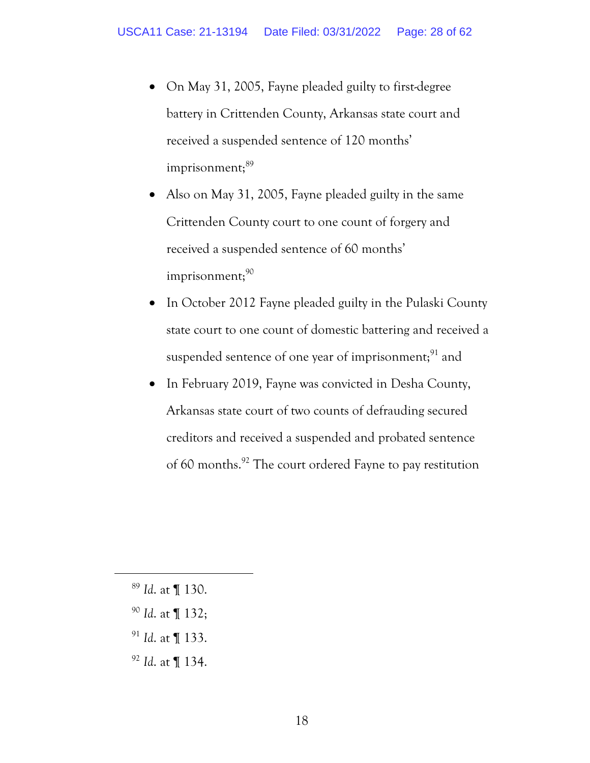- On May 31, 2005, Fayne pleaded guilty to first-degree battery in Crittenden County, Arkansas state court and received a suspended sentence of 120 months' imprisonment;<sup>89</sup>
- Also on May 31, 2005, Fayne pleaded guilty in the same Crittenden County court to one count of forgery and received a suspended sentence of 60 months'  $imprisonment; 90$
- In October 2012 Fayne pleaded guilty in the Pulaski County state court to one count of domestic battering and received a suspended sentence of one year of imprisonment; $91$  and
- In February 2019, Fayne was convicted in Desha County, Arkansas state court of two counts of defrauding secured creditors and received a suspended and probated sentence of 60 months.<sup>92</sup> The court ordered Fayne to pay restitution

- <sup>89</sup> *Id*. at ¶ 130.
- <sup>90</sup> *Id*. at ¶ 132;
- <sup>91</sup> *Id*. at ¶ 133.
- <sup>92</sup> *Id*. at ¶ 134.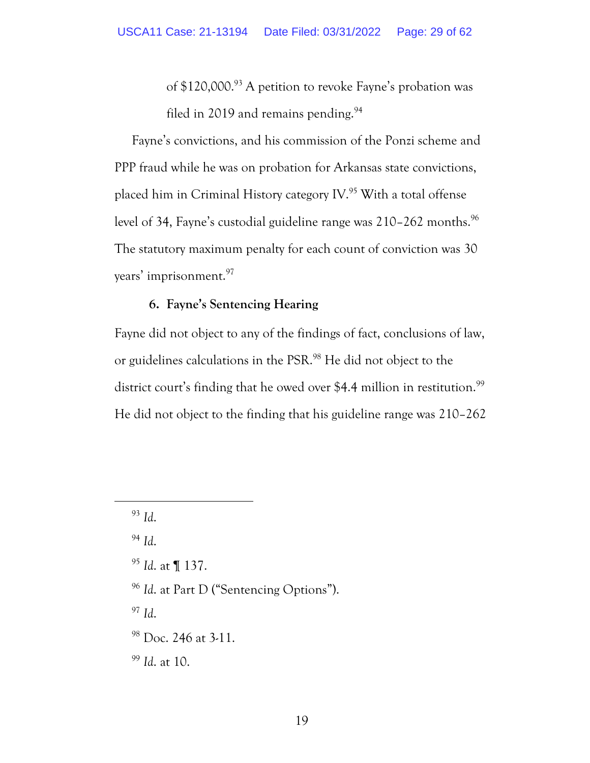of \$120,000.<sup>93</sup> A petition to revoke Fayne's probation was filed in 2019 and remains pending.<sup>94</sup>

Fayne's convictions, and his commission of the Ponzi scheme and PPP fraud while he was on probation for Arkansas state convictions, placed him in Criminal History category IV.<sup>95</sup> With a total offense level of 34, Fayne's custodial guideline range was 210-262 months.<sup>96</sup> The statutory maximum penalty for each count of conviction was 30 years' imprisonment.<sup>97</sup>

### **6. Fayne's Sentencing Hearing**

Fayne did not object to any of the findings of fact, conclusions of law, or guidelines calculations in the PSR.<sup>98</sup> He did not object to the district court's finding that he owed over \$4.4 million in restitution.<sup>99</sup> He did not object to the finding that his guideline range was 210–262

<sup>94</sup> *Id*.

<sup>95</sup> *Id*. at ¶ 137.

<sup>96</sup> *Id*. at Part D ("Sentencing Options").

<sup>97</sup> *Id*.

<sup>98</sup> Doc. 246 at 3-11.

<sup>99</sup> *Id*. at 10.

<sup>93</sup> *Id*.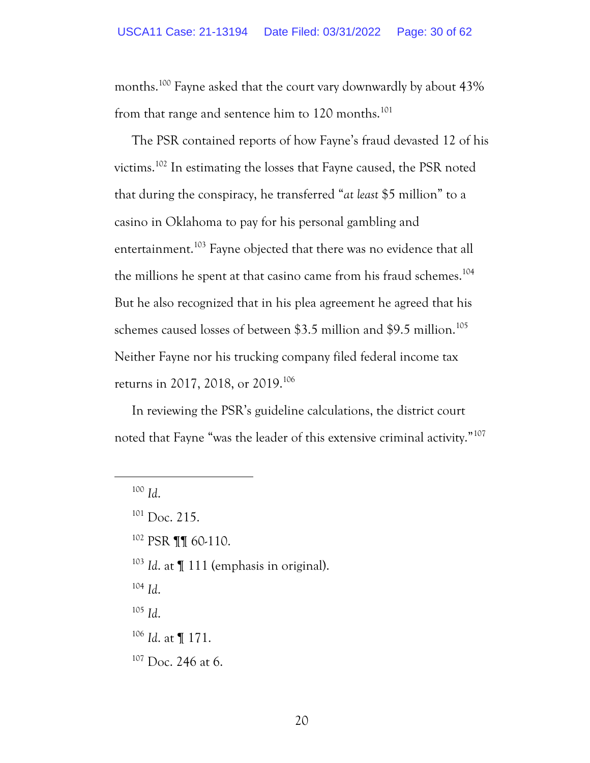months.<sup>100</sup> Fayne asked that the court vary downwardly by about 43% from that range and sentence him to 120 months.<sup>101</sup>

The PSR contained reports of how Fayne's fraud devasted 12 of his victims.<sup>102</sup> In estimating the losses that Fayne caused, the PSR noted that during the conspiracy, he transferred "*at least* \$5 million" to a casino in Oklahoma to pay for his personal gambling and entertainment.<sup>103</sup> Fayne objected that there was no evidence that all the millions he spent at that casino came from his fraud schemes. 104 But he also recognized that in his plea agreement he agreed that his schemes caused losses of between \$3.5 million and \$9.5 million.<sup>105</sup> Neither Fayne nor his trucking company filed federal income tax returns in 2017, 2018, or 2019.<sup>106</sup>

In reviewing the PSR's guideline calculations, the district court noted that Fayne "was the leader of this extensive criminal activity."<sup>107</sup>

 $102$  PSR **[1]** 60-110.

<sup>103</sup> *Id*. at ¶ 111 (emphasis in original).

<sup>104</sup> *Id*.

- <sup>106</sup> *Id*. at ¶ 171.
- <sup>107</sup> Doc. 246 at 6.

<sup>100</sup> *Id*.

 $101$  Doc. 215.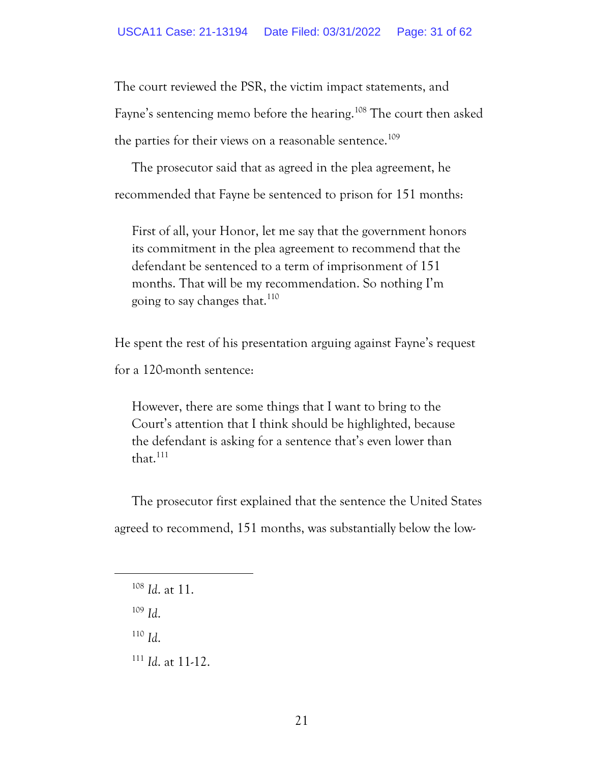The court reviewed the PSR, the victim impact statements, and Fayne's sentencing memo before the hearing.<sup>108</sup> The court then asked the parties for their views on a reasonable sentence.<sup>109</sup>

The prosecutor said that as agreed in the plea agreement, he recommended that Fayne be sentenced to prison for 151 months:

First of all, your Honor, let me say that the government honors its commitment in the plea agreement to recommend that the defendant be sentenced to a term of imprisonment of 151 months. That will be my recommendation. So nothing I'm going to say changes that.<sup>110</sup>

He spent the rest of his presentation arguing against Fayne's request for a 120-month sentence:

However, there are some things that I want to bring to the Court's attention that I think should be highlighted, because the defendant is asking for a sentence that's even lower than that. 111

The prosecutor first explained that the sentence the United States agreed to recommend, 151 months, was substantially below the low-

<sup>109</sup> *Id*.

<sup>110</sup> *Id*.

<sup>111</sup> *Id*. at 11-12.

<sup>108</sup> *Id*. at 11.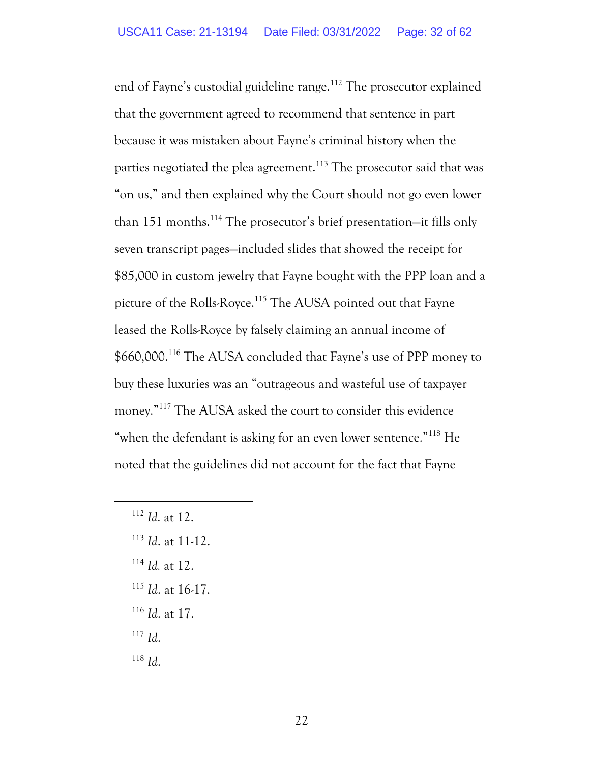end of Fayne's custodial guideline range.<sup>112</sup> The prosecutor explained that the government agreed to recommend that sentence in part because it was mistaken about Fayne's criminal history when the parties negotiated the plea agreement.<sup>113</sup> The prosecutor said that was "on us," and then explained why the Court should not go even lower than 151 months.<sup>114</sup> The prosecutor's brief presentation-it fills only seven transcript pages—included slides that showed the receipt for \$85,000 in custom jewelry that Fayne bought with the PPP loan and a picture of the Rolls-Royce.<sup>115</sup> The AUSA pointed out that Fayne leased the Rolls-Royce by falsely claiming an annual income of \$660,000.<sup>116</sup> The AUSA concluded that Fayne's use of PPP money to buy these luxuries was an "outrageous and wasteful use of taxpayer money."<sup>117</sup> The AUSA asked the court to consider this evidence "when the defendant is asking for an even lower sentence."<sup>118</sup> He noted that the guidelines did not account for the fact that Fayne

- <sup>113</sup> *Id*. at 11-12.
- <sup>114</sup> *Id.* at 12.
- <sup>115</sup> *Id*. at 16-17.
- <sup>116</sup> *Id*. at 17.
- <sup>117</sup> *Id*.
- <sup>118</sup> *Id*.

<sup>112</sup> *Id.* at 12.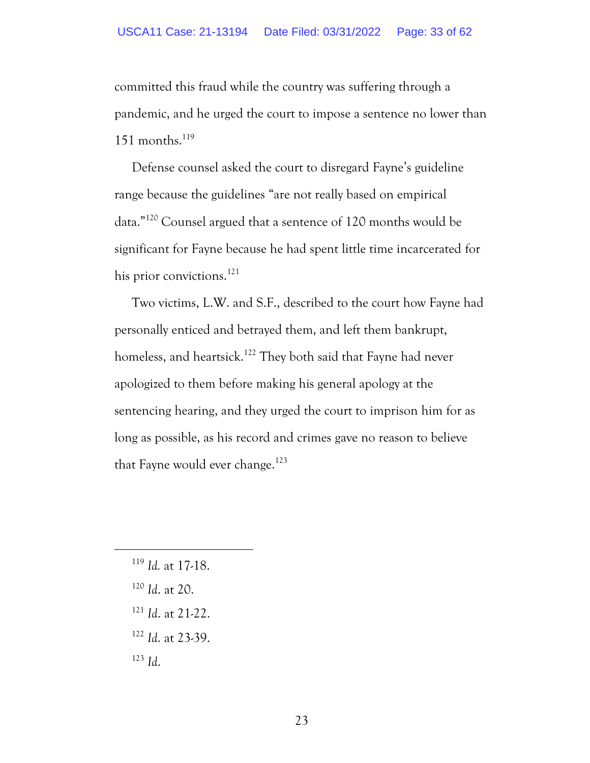committed this fraud while the country was suffering through a pandemic, and he urged the court to impose a sentence no lower than 151 months. $^{119}$ 

Defense counsel asked the court to disregard Fayne's guideline range because the guidelines "are not really based on empirical data."<sup>120</sup> Counsel argued that a sentence of 120 months would be significant for Fayne because he had spent little time incarcerated for his prior convictions.<sup>121</sup>

Two victims, L.W. and S.F., described to the court how Fayne had personally enticed and betrayed them, and left them bankrupt, homeless, and heartsick.<sup>122</sup> They both said that Fayne had never apologized to them before making his general apology at the sentencing hearing, and they urged the court to imprison him for as long as possible, as his record and crimes gave no reason to believe that Fayne would ever change.<sup>123</sup>

- <sup>120</sup> *Id*. at 20.
- <sup>121</sup> *Id*. at 21-22.
- <sup>122</sup> *Id*. at 23-39.
- <sup>123</sup> *Id*.

<sup>119</sup> *Id.* at 17-18.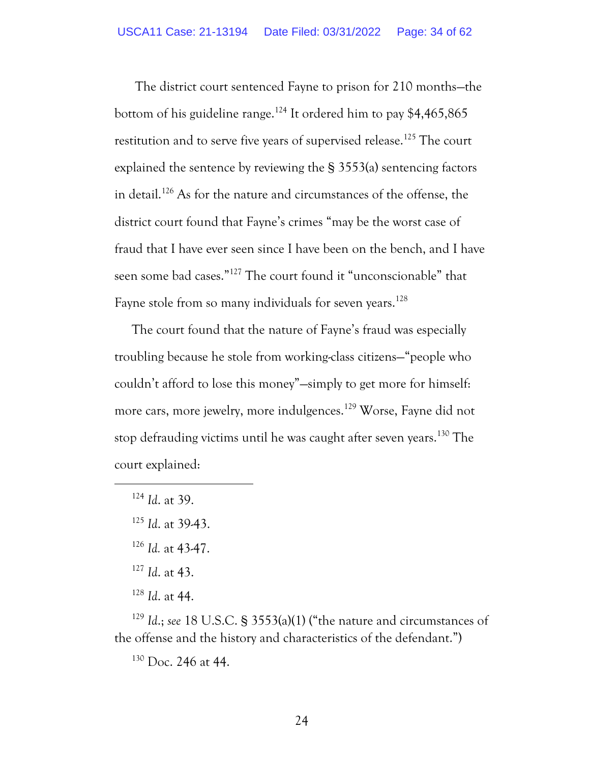The district court sentenced Fayne to prison for 210 months—the bottom of his guideline range.<sup>124</sup> It ordered him to pay \$4,465,865 restitution and to serve five years of supervised release.<sup>125</sup> The court explained the sentence by reviewing the § 3553(a) sentencing factors in detail.<sup>126</sup> As for the nature and circumstances of the offense, the district court found that Fayne's crimes "may be the worst case of fraud that I have ever seen since I have been on the bench, and I have seen some bad cases."<sup>127</sup> The court found it "unconscionable" that Fayne stole from so many individuals for seven years.<sup>128</sup>

The court found that the nature of Fayne's fraud was especially troubling because he stole from working-class citizens—"people who couldn't afford to lose this money"—simply to get more for himself: more cars, more jewelry, more indulgences.<sup>129</sup> Worse, Fayne did not stop defrauding victims until he was caught after seven years.<sup>130</sup> The court explained:

<sup>124</sup> *Id*. at 39.

<sup>126</sup> *Id.* at 43-47.

- <sup>127</sup> *Id*. at 43.
- <sup>128</sup> *Id*. at 44.

<sup>129</sup> *Id*.; *see* 18 U.S.C. § 3553(a)(1) ("the nature and circumstances of the offense and the history and characteristics of the defendant.")

<sup>130</sup> Doc. 246 at 44.

<sup>125</sup> *Id*. at 39-43.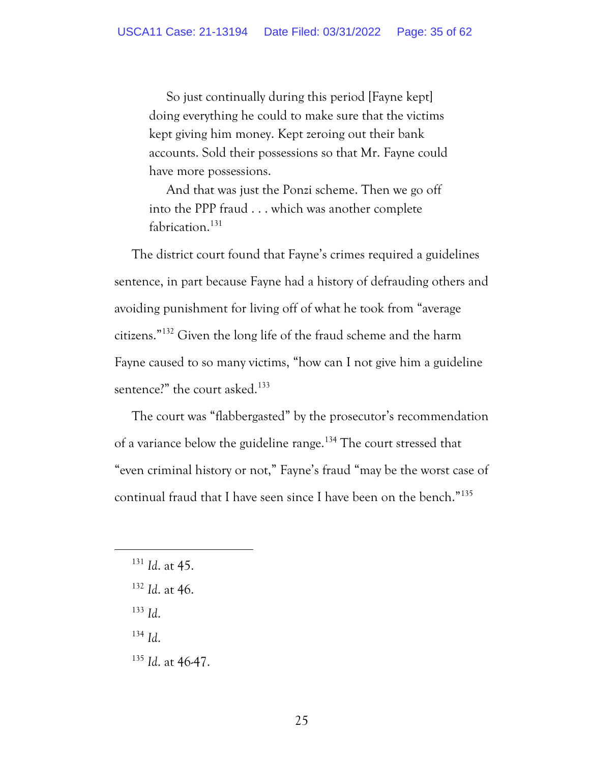So just continually during this period [Fayne kept] doing everything he could to make sure that the victims kept giving him money. Kept zeroing out their bank accounts. Sold their possessions so that Mr. Fayne could have more possessions.

And that was just the Ponzi scheme. Then we go off into the PPP fraud . . . which was another complete fabrication.<sup>131</sup>

The district court found that Fayne's crimes required a guidelines sentence, in part because Fayne had a history of defrauding others and avoiding punishment for living off of what he took from "average citizens."<sup>132</sup> Given the long life of the fraud scheme and the harm Fayne caused to so many victims, "how can I not give him a guideline sentence?" the court asked.<sup>133</sup>

The court was "flabbergasted" by the prosecutor's recommendation of a variance below the guideline range.<sup>134</sup> The court stressed that "even criminal history or not," Fayne's fraud "may be the worst case of continual fraud that I have seen since I have been on the bench."<sup>135</sup>

- <sup>133</sup> *Id*.
- <sup>134</sup> *Id*.
- <sup>135</sup> *Id*. at 46-47.

<sup>131</sup> *Id*. at 45.

<sup>132</sup> *Id*. at 46.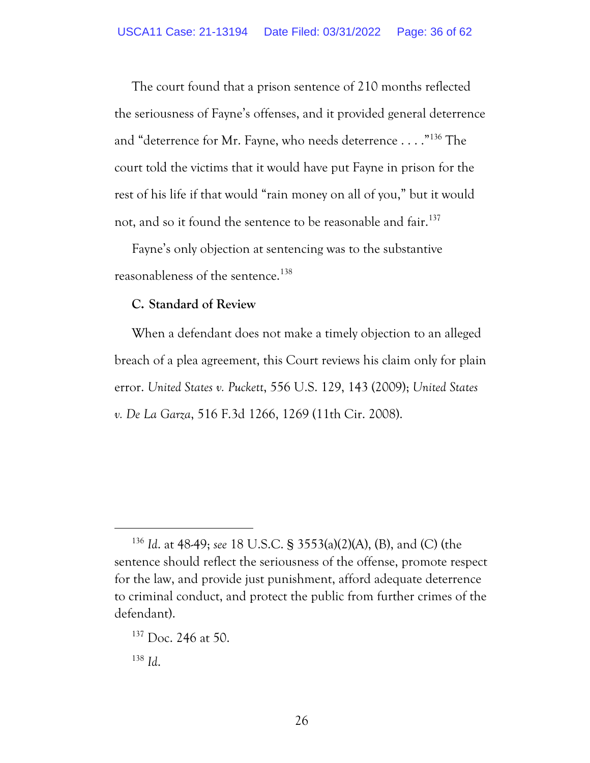The court found that a prison sentence of 210 months reflected the seriousness of Fayne's offenses, and it provided general deterrence and "deterrence for Mr. Fayne, who needs deterrence . . . ."<sup>136</sup> The court told the victims that it would have put Fayne in prison for the rest of his life if that would "rain money on all of you," but it would not, and so it found the sentence to be reasonable and fair.<sup>137</sup>

Fayne's only objection at sentencing was to the substantive reasonableness of the sentence.<sup>138</sup>

### **C. Standard of Review**

When a defendant does not make a timely objection to an alleged breach of a plea agreement, this Court reviews his claim only for plain error. *United States v. Puckett*, 556 U.S. 129, 143 (2009); *United States v. De La Garza*, 516 F.3d 1266, 1269 (11th Cir. 2008).

<sup>136</sup> *Id*. at 48-49; *see* 18 U.S.C. § 3553(a)(2)(A), (B), and (C) (the sentence should reflect the seriousness of the offense, promote respect for the law, and provide just punishment, afford adequate deterrence to criminal conduct, and protect the public from further crimes of the defendant).

<sup>&</sup>lt;sup>137</sup> Doc. 246 at 50.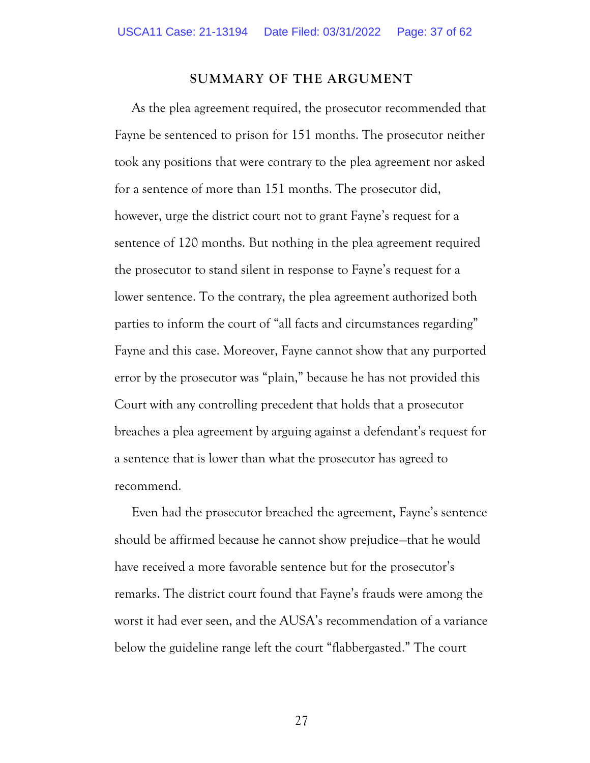#### **SUMMARY OF THE ARGUMENT**

As the plea agreement required, the prosecutor recommended that Fayne be sentenced to prison for 151 months. The prosecutor neither took any positions that were contrary to the plea agreement nor asked for a sentence of more than 151 months. The prosecutor did, however, urge the district court not to grant Fayne's request for a sentence of 120 months. But nothing in the plea agreement required the prosecutor to stand silent in response to Fayne's request for a lower sentence. To the contrary, the plea agreement authorized both parties to inform the court of "all facts and circumstances regarding" Fayne and this case. Moreover, Fayne cannot show that any purported error by the prosecutor was "plain," because he has not provided this Court with any controlling precedent that holds that a prosecutor breaches a plea agreement by arguing against a defendant's request for a sentence that is lower than what the prosecutor has agreed to recommend.

Even had the prosecutor breached the agreement, Fayne's sentence should be affirmed because he cannot show prejudice—that he would have received a more favorable sentence but for the prosecutor's remarks. The district court found that Fayne's frauds were among the worst it had ever seen, and the AUSA's recommendation of a variance below the guideline range left the court "flabbergasted." The court

27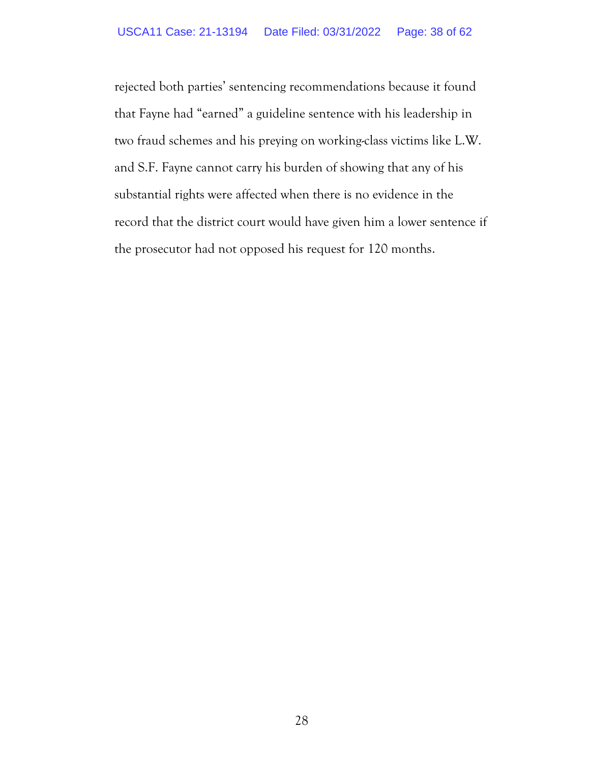rejected both parties' sentencing recommendations because it found that Fayne had "earned" a guideline sentence with his leadership in two fraud schemes and his preying on working-class victims like L.W. and S.F. Fayne cannot carry his burden of showing that any of his substantial rights were affected when there is no evidence in the record that the district court would have given him a lower sentence if the prosecutor had not opposed his request for 120 months.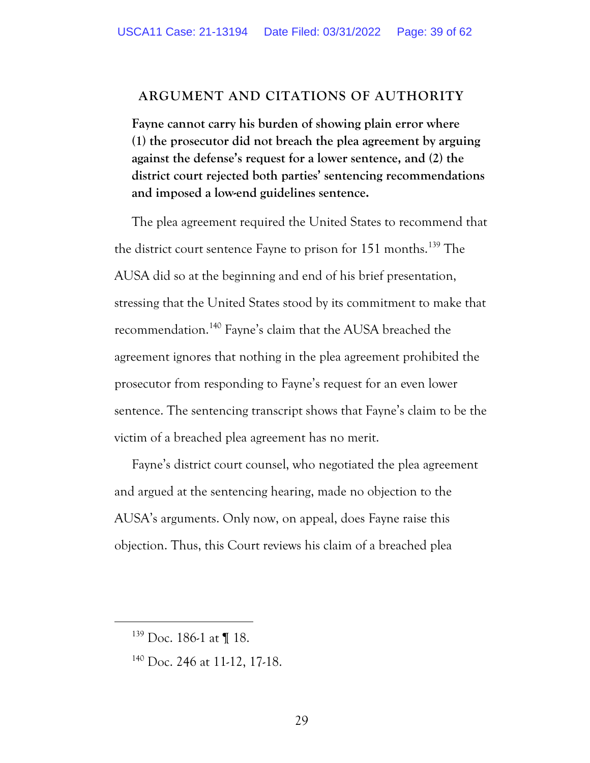### **ARGUMENT AND CITATIONS OF AUTHORITY**

**Fayne cannot carry his burden of showing plain error where (1) the prosecutor did not breach the plea agreement by arguing against the defense's request for a lower sentence, and (2) the district court rejected both parties' sentencing recommendations and imposed a low-end guidelines sentence.** 

The plea agreement required the United States to recommend that the district court sentence Fayne to prison for 151 months.<sup>139</sup> The AUSA did so at the beginning and end of his brief presentation, stressing that the United States stood by its commitment to make that recommendation.<sup>140</sup> Fayne's claim that the AUSA breached the agreement ignores that nothing in the plea agreement prohibited the prosecutor from responding to Fayne's request for an even lower sentence. The sentencing transcript shows that Fayne's claim to be the victim of a breached plea agreement has no merit.

Fayne's district court counsel, who negotiated the plea agreement and argued at the sentencing hearing, made no objection to the AUSA's arguments. Only now, on appeal, does Fayne raise this objection. Thus, this Court reviews his claim of a breached plea

<sup>&</sup>lt;sup>139</sup> Doc. 186-1 at ¶ 18.

<sup>140</sup> Doc. 246 at 11-12, 17-18.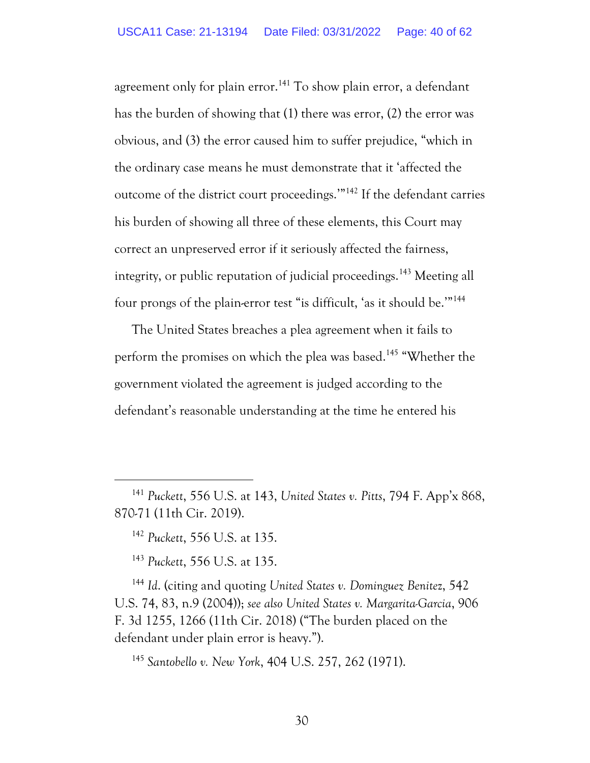agreement only for plain error.<sup>141</sup> To show plain error, a defendant has the burden of showing that (1) there was error, (2) the error was obvious, and (3) the error caused him to suffer prejudice, "which in the ordinary case means he must demonstrate that it 'affected the outcome of the district court proceedings.'" <sup>142</sup> If the defendant carries his burden of showing all three of these elements, this Court may correct an unpreserved error if it seriously affected the fairness, integrity, or public reputation of judicial proceedings.<sup>143</sup> Meeting all four prongs of the plain-error test "is difficult, 'as it should be."<sup>144</sup>

The United States breaches a plea agreement when it fails to perform the promises on which the plea was based.<sup>145</sup> "Whether the government violated the agreement is judged according to the defendant's reasonable understanding at the time he entered his

<sup>142</sup> *Puckett*, 556 U.S. at 135.

<sup>143</sup> *Puckett*, 556 U.S. at 135.

<sup>144</sup> *Id*. (citing and quoting *United States v. Dominguez Benite*z, 542 U.S. 74, 83, n.9 (2004)); *see also United States v. Margarita-Garcia*, 906 F. 3d 1255, 1266 (11th Cir. 2018) ("The burden placed on the defendant under plain error is heavy.").

<sup>145</sup> *Santobello v. New York*, 404 U.S. 257, 262 (1971).

<sup>141</sup> *Puckett*, 556 U.S. at 143, *United States v. Pitts*, 794 F. App'x 868, 870-71 (11th Cir. 2019).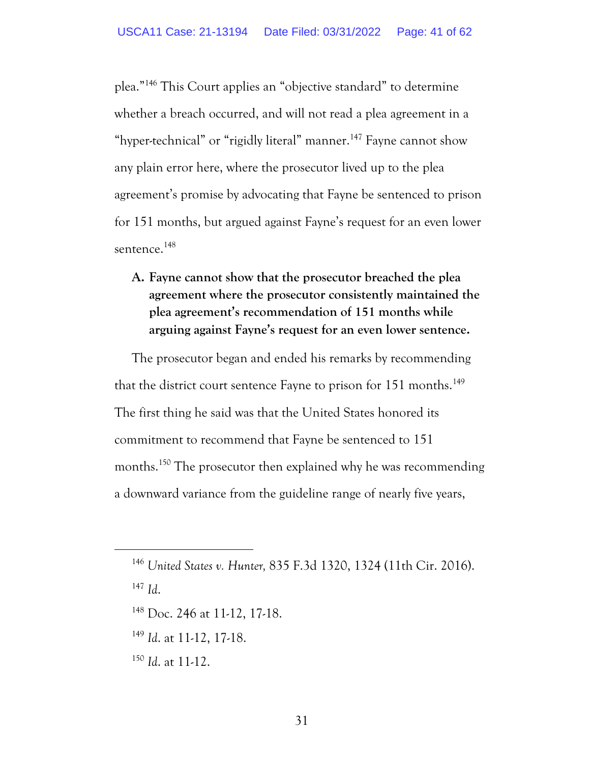plea."<sup>146</sup> This Court applies an "objective standard" to determine whether a breach occurred, and will not read a plea agreement in a "hyper-technical" or "rigidly literal" manner.<sup>147</sup> Fayne cannot show any plain error here, where the prosecutor lived up to the plea agreement's promise by advocating that Fayne be sentenced to prison for 151 months, but argued against Fayne's request for an even lower sentence. 148

## **A. Fayne cannot show that the prosecutor breached the plea agreement where the prosecutor consistently maintained the plea agreement's recommendation of 151 months while arguing against Fayne's request for an even lower sentence.**

The prosecutor began and ended his remarks by recommending that the district court sentence Fayne to prison for 151 months.<sup>149</sup> The first thing he said was that the United States honored its commitment to recommend that Fayne be sentenced to 151 months.<sup>150</sup> The prosecutor then explained why he was recommending a downward variance from the guideline range of nearly five years,

- <sup>148</sup> Doc. 246 at 11-12, 17-18.
- <sup>149</sup> *Id*. at 11-12, 17-18.
- <sup>150</sup> *Id*. at 11-12.

<sup>146</sup> *United States v. Hunter,* 835 F.3d 1320, 1324 (11th Cir. 2016).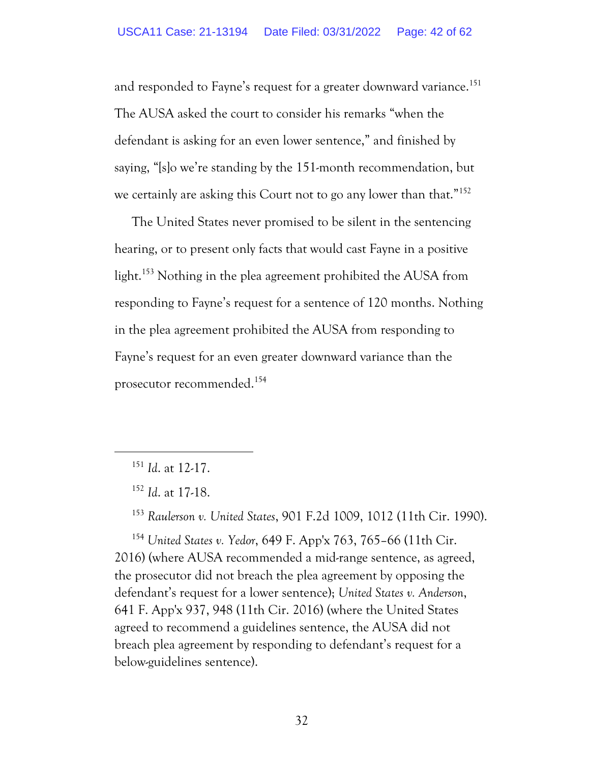and responded to Fayne's request for a greater downward variance.<sup>151</sup> The AUSA asked the court to consider his remarks "when the defendant is asking for an even lower sentence," and finished by saying, "[s]o we're standing by the 151-month recommendation, but we certainly are asking this Court not to go any lower than that."<sup>152</sup>

The United States never promised to be silent in the sentencing hearing, or to present only facts that would cast Fayne in a positive light.<sup>153</sup> Nothing in the plea agreement prohibited the AUSA from responding to Fayne's request for a sentence of 120 months. Nothing in the plea agreement prohibited the AUSA from responding to Fayne's request for an even greater downward variance than the prosecutor recommended.<sup>154</sup>

<sup>153</sup> *Raulerson v. United States*, 901 F.2d 1009, 1012 (11th Cir. 1990).

<sup>154</sup> *United States v. Yedor*, 649 F. App'x 763, 765–66 (11th Cir. 2016) (where AUSA recommended a mid-range sentence, as agreed, the prosecutor did not breach the plea agreement by opposing the defendant's request for a lower sentence); *United States v. Anderson*, 641 F. App'x 937, 948 (11th Cir. 2016) (where the United States agreed to recommend a guidelines sentence, the AUSA did not breach plea agreement by responding to defendant's request for a below-guidelines sentence).

<sup>151</sup> *Id*. at 12-17.

<sup>152</sup> *Id*. at 17-18.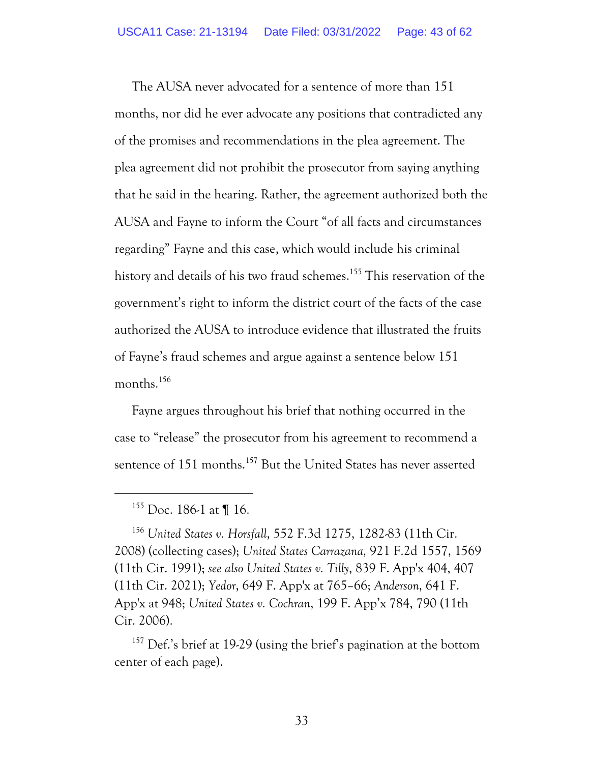The AUSA never advocated for a sentence of more than 151 months, nor did he ever advocate any positions that contradicted any of the promises and recommendations in the plea agreement. The plea agreement did not prohibit the prosecutor from saying anything that he said in the hearing. Rather, the agreement authorized both the AUSA and Fayne to inform the Court "of all facts and circumstances regarding" Fayne and this case, which would include his criminal history and details of his two fraud schemes. <sup>155</sup> This reservation of the government's right to inform the district court of the facts of the case authorized the AUSA to introduce evidence that illustrated the fruits of Fayne's fraud schemes and argue against a sentence below 151 months. 156

Fayne argues throughout his brief that nothing occurred in the case to "release" the prosecutor from his agreement to recommend a sentence of 151 months.<sup>157</sup> But the United States has never asserted

 $155$  Doc. 186-1 at ¶ 16.

<sup>156</sup> *United States v. Horsfall*, 552 F.3d 1275, 1282-83 (11th Cir. 2008) (collecting cases); *United States Carrazana,* 921 F.2d 1557, 1569 (11th Cir. 1991); *see also United States v. Tilly*, 839 F. App'x 404, 407 (11th Cir. 2021); *Yedor*, 649 F. App'x at 765–66; *Anderson*, 641 F. App'x at 948; *United States v. Cochran*, 199 F. App'x 784, 790 (11th Cir. 2006).

<sup>&</sup>lt;sup>157</sup> Def.'s brief at 19-29 (using the brief's pagination at the bottom center of each page).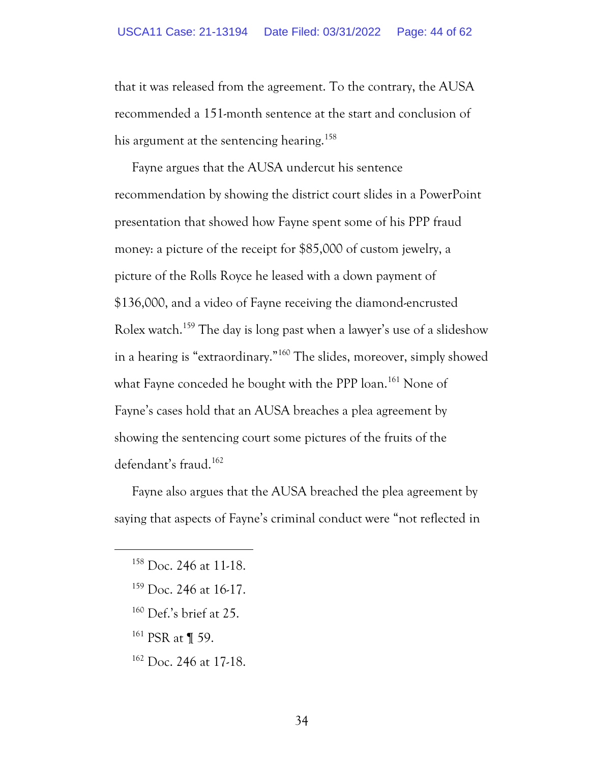that it was released from the agreement. To the contrary, the AUSA recommended a 151-month sentence at the start and conclusion of his argument at the sentencing hearing.<sup>158</sup>

Fayne argues that the AUSA undercut his sentence recommendation by showing the district court slides in a PowerPoint presentation that showed how Fayne spent some of his PPP fraud money: a picture of the receipt for \$85,000 of custom jewelry, a picture of the Rolls Royce he leased with a down payment of \$136,000, and a video of Fayne receiving the diamond-encrusted Rolex watch.<sup>159</sup> The day is long past when a lawyer's use of a slideshow in a hearing is "extraordinary."<sup>160</sup> The slides, moreover, simply showed what Fayne conceded he bought with the PPP loan.<sup>161</sup> None of Fayne's cases hold that an AUSA breaches a plea agreement by showing the sentencing court some pictures of the fruits of the defendant's fraud.<sup>162</sup>

Fayne also argues that the AUSA breached the plea agreement by saying that aspects of Fayne's criminal conduct were "not reflected in

- $159$  Doc. 246 at 16-17.
- <sup>160</sup> Def.'s brief at 25.
- <sup>161</sup> PSR at ¶ 59.
- <sup>162</sup> Doc. 246 at 17-18.

<sup>158</sup> Doc. 246 at 11-18.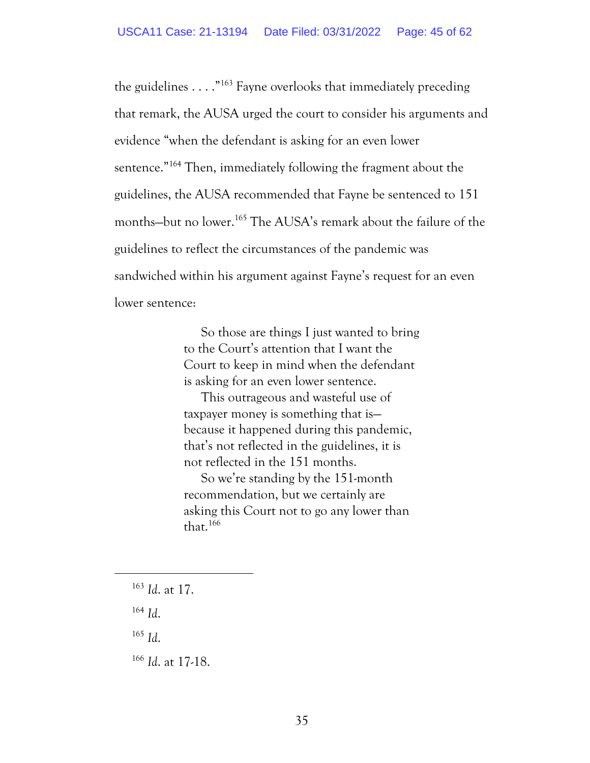the guidelines  $\dots$ ."<sup>163</sup> Fayne overlooks that immediately preceding that remark, the AUSA urged the court to consider his arguments and evidence "when the defendant is asking for an even lower sentence."<sup>164</sup> Then, immediately following the fragment about the guidelines, the AUSA recommended that Fayne be sentenced to 151 months—but no lower.<sup>165</sup> The AUSA's remark about the failure of the guidelines to reflect the circumstances of the pandemic was sandwiched within his argument against Fayne's request for an even lower sentence:

> So those are things I just wanted to bring to the Court's attention that I want the Court to keep in mind when the defendant is asking for an even lower sentence.

This outrageous and wasteful use of taxpayer money is something that is because it happened during this pandemic, that's not reflected in the guidelines, it is not reflected in the 151 months.

So we're standing by the 151-month recommendation, but we certainly are asking this Court not to go any lower than that. $166$ 

<sup>164</sup> *Id*.

<sup>165</sup> *Id*.

<sup>166</sup> *Id*. at 17-18.

<sup>163</sup> *Id*. at 17.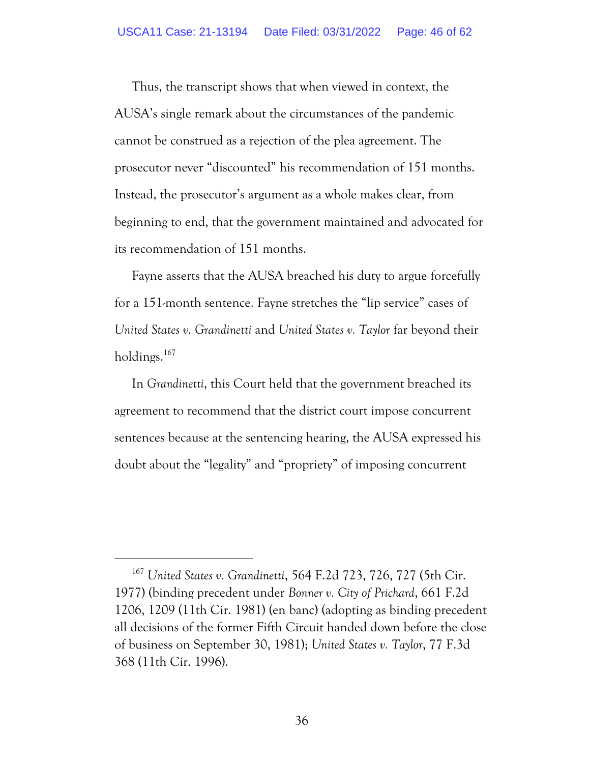Thus, the transcript shows that when viewed in context, the AUSA's single remark about the circumstances of the pandemic cannot be construed as a rejection of the plea agreement. The prosecutor never "discounted" his recommendation of 151 months. Instead, the prosecutor's argument as a whole makes clear, from beginning to end, that the government maintained and advocated for its recommendation of 151 months.

Fayne asserts that the AUSA breached his duty to argue forcefully for a 151-month sentence. Fayne stretches the "lip service" cases of *United States v. Grandinetti* and *United States v. Taylor* far beyond their holdings.<sup>167</sup>

In *Grandinetti*, this Court held that the government breached its agreement to recommend that the district court impose concurrent sentences because at the sentencing hearing, the AUSA expressed his doubt about the "legality" and "propriety" of imposing concurrent

<sup>167</sup> *United States v. Grandinetti*, 564 F.2d 723, 726, 727 (5th Cir. 1977) (binding precedent under *Bonner v. City of Prichard*, 661 F.2d 1206, 1209 (11th Cir. 1981) (en banc) (adopting as binding precedent all decisions of the former Fifth Circuit handed down before the close of business on September 30, 1981); *United States v. Taylor*, 77 F.3d 368 (11th Cir. 1996).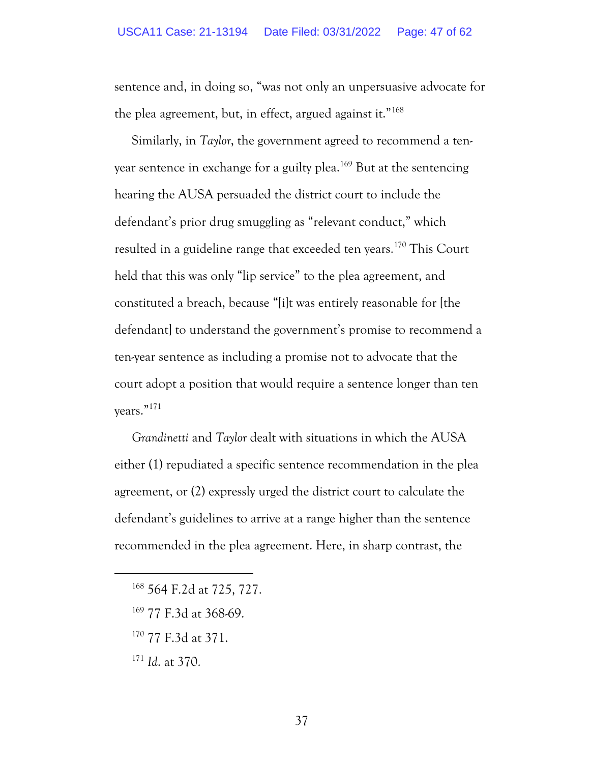sentence and, in doing so, "was not only an unpersuasive advocate for the plea agreement, but, in effect, argued against it."<sup>168</sup>

Similarly, in *Taylor*, the government agreed to recommend a tenyear sentence in exchange for a guilty plea.<sup>169</sup> But at the sentencing hearing the AUSA persuaded the district court to include the defendant's prior drug smuggling as "relevant conduct," which resulted in a guideline range that exceeded ten years.<sup>170</sup> This Court held that this was only "lip service" to the plea agreement, and constituted a breach, because "[i]t was entirely reasonable for [the defendant to understand the government's promise to recommend a ten-year sentence as including a promise not to advocate that the court adopt a position that would require a sentence longer than ten years."<sup>171</sup>

*Grandinetti* and *Taylor* dealt with situations in which the AUSA either (1) repudiated a specific sentence recommendation in the plea agreement, or (2) expressly urged the district court to calculate the defendant's guidelines to arrive at a range higher than the sentence recommended in the plea agreement. Here, in sharp contrast, the

- <sup>169</sup> 77 F.3d at 368-69.
- <sup>170</sup> 77 F.3d at 371.
- <sup>171</sup> *Id*. at 370.

<sup>168</sup> 564 F.2d at 725, 727.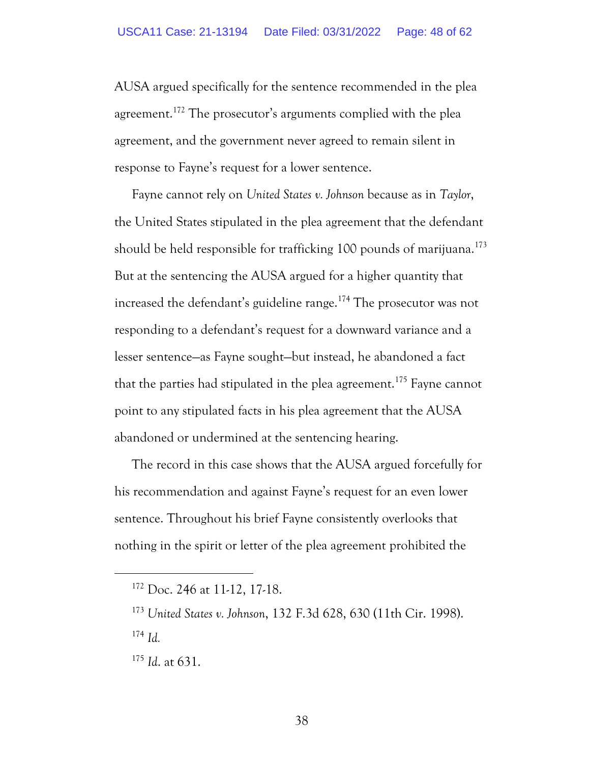AUSA argued specifically for the sentence recommended in the plea agreement.<sup>172</sup> The prosecutor's arguments complied with the plea agreement, and the government never agreed to remain silent in response to Fayne's request for a lower sentence.

Fayne cannot rely on *United States v. Johnson* because as in *Taylor*, the United States stipulated in the plea agreement that the defendant should be held responsible for trafficking 100 pounds of marijuana.<sup>173</sup> But at the sentencing the AUSA argued for a higher quantity that increased the defendant's guideline range.<sup>174</sup> The prosecutor was not responding to a defendant's request for a downward variance and a lesser sentence—as Fayne sought—but instead, he abandoned a fact that the parties had stipulated in the plea agreement.<sup>175</sup> Fayne cannot point to any stipulated facts in his plea agreement that the AUSA abandoned or undermined at the sentencing hearing.

The record in this case shows that the AUSA argued forcefully for his recommendation and against Fayne's request for an even lower sentence. Throughout his brief Fayne consistently overlooks that nothing in the spirit or letter of the plea agreement prohibited the

<sup>175</sup> *Id*. at 631.

<sup>172</sup> Doc. 246 at 11-12, 17-18.

<sup>173</sup> *United States v. Johnson*, 132 F.3d 628, 630 (11th Cir. 1998). <sup>174</sup> *Id.*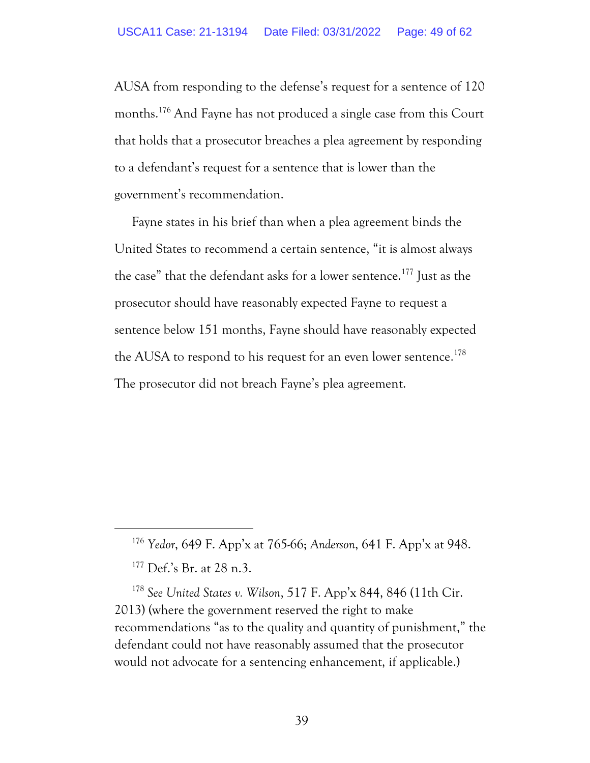AUSA from responding to the defense's request for a sentence of 120 months.<sup>176</sup> And Fayne has not produced a single case from this Court that holds that a prosecutor breaches a plea agreement by responding to a defendant's request for a sentence that is lower than the government's recommendation.

Fayne states in his brief than when a plea agreement binds the United States to recommend a certain sentence, "it is almost always the case" that the defendant asks for a lower sentence.<sup>177</sup> Just as the prosecutor should have reasonably expected Fayne to request a sentence below 151 months, Fayne should have reasonably expected the AUSA to respond to his request for an even lower sentence. 178 The prosecutor did not breach Fayne's plea agreement.

<sup>178</sup> *See United States v. Wilson*, 517 F. App'x 844, 846 (11th Cir. 2013) (where the government reserved the right to make recommendations "as to the quality and quantity of punishment," the defendant could not have reasonably assumed that the prosecutor would not advocate for a sentencing enhancement, if applicable.)

<sup>176</sup> *Yedor*, 649 F. App'x at 765-66; *Anderson*, 641 F. App'x at 948.

<sup>177</sup> Def.'s Br. at 28 n.3.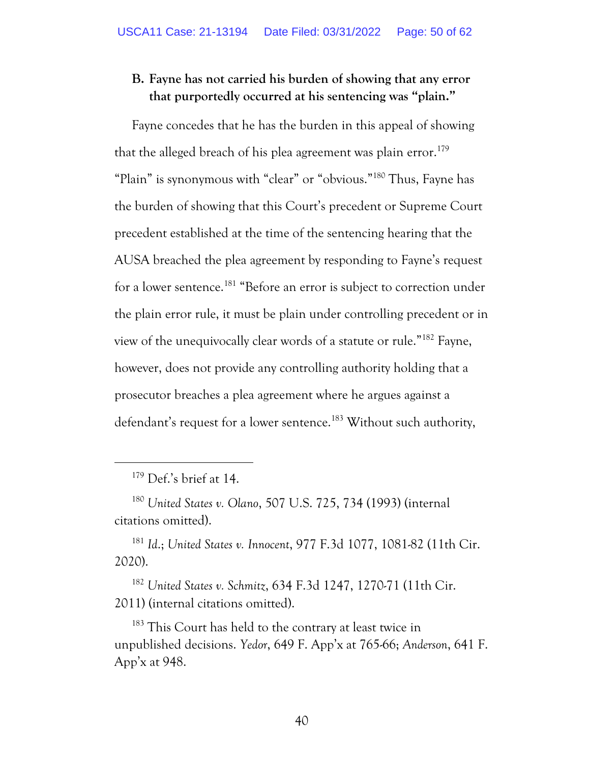### **B. Fayne has not carried his burden of showing that any error that purportedly occurred at his sentencing was "plain."**

Fayne concedes that he has the burden in this appeal of showing that the alleged breach of his plea agreement was plain error. 179 "Plain" is synonymous with "clear" or "obvious."<sup>180</sup> Thus, Fayne has the burden of showing that this Court's precedent or Supreme Court precedent established at the time of the sentencing hearing that the AUSA breached the plea agreement by responding to Fayne's request for a lower sentence.<sup>181</sup> "Before an error is subject to correction under the plain error rule, it must be plain under controlling precedent or in view of the unequivocally clear words of a statute or rule."<sup>182</sup> Fayne, however, does not provide any controlling authority holding that a prosecutor breaches a plea agreement where he argues against a defendant's request for a lower sentence.<sup>183</sup> Without such authority,

<sup>181</sup> *Id*.; *United States v. Innocent*, 977 F.3d 1077, 1081-82 (11th Cir. 2020).

<sup>182</sup> *United States v. Schmitz*, 634 F.3d 1247, 1270-71 (11th Cir. 2011) (internal citations omitted).

<sup>183</sup> This Court has held to the contrary at least twice in unpublished decisions. *Yedor*, 649 F. App'x at 765-66; *Anderson*, 641 F. App'x at 948.

<sup>179</sup> Def.'s brief at 14.

<sup>180</sup> *United States v. Olano*, 507 U.S. 725, 734 (1993) (internal citations omitted).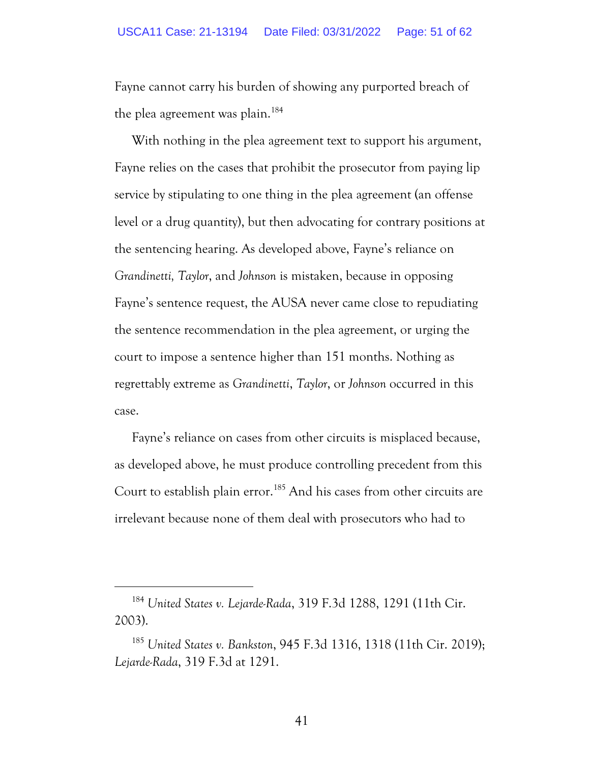Fayne cannot carry his burden of showing any purported breach of the plea agreement was plain.<sup>184</sup>

With nothing in the plea agreement text to support his argument, Fayne relies on the cases that prohibit the prosecutor from paying lip service by stipulating to one thing in the plea agreement (an offense level or a drug quantity), but then advocating for contrary positions at the sentencing hearing. As developed above, Fayne's reliance on *Grandinetti, Taylor*, and *Johnson* is mistaken, because in opposing Fayne's sentence request, the AUSA never came close to repudiating the sentence recommendation in the plea agreement, or urging the court to impose a sentence higher than 151 months. Nothing as regrettably extreme as *Grandinetti*, *Taylor*, or *Johnson* occurred in this case.

Fayne's reliance on cases from other circuits is misplaced because, as developed above, he must produce controlling precedent from this Court to establish plain error.<sup>185</sup> And his cases from other circuits are irrelevant because none of them deal with prosecutors who had to

<sup>184</sup> *United States v. Lejarde-Rada*, 319 F.3d 1288, 1291 (11th Cir. 2003).

<sup>185</sup> *United States v. Bankston*, 945 F.3d 1316, 1318 (11th Cir. 2019); *Lejarde-Rada*, 319 F.3d at 1291.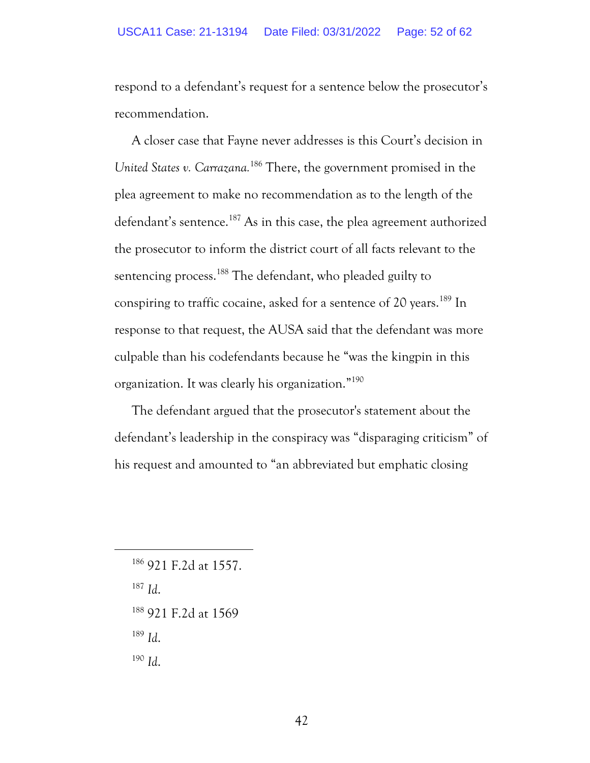respond to a defendant's request for a sentence below the prosecutor's recommendation.

A closer case that Fayne never addresses is this Court's decision in *United States v. Carrazana.* <sup>186</sup> There, the government promised in the plea agreement to make no recommendation as to the length of the defendant's sentence.<sup>187</sup> As in this case, the plea agreement authorized the prosecutor to inform the district court of all facts relevant to the sentencing process. <sup>188</sup> The defendant, who pleaded guilty to conspiring to traffic cocaine, asked for a sentence of 20 years.<sup>189</sup> In response to that request, the AUSA said that the defendant was more culpable than his codefendants because he "was the kingpin in this organization. It was clearly his organization." 190

The defendant argued that the prosecutor's statement about the defendant's leadership in the conspiracy was "disparaging criticism" of his request and amounted to "an abbreviated but emphatic closing

<sup>186</sup> 921 F.2d at 1557.

<sup>187</sup> *Id*.

<sup>188</sup> 921 F.2d at 1569

<sup>189</sup> *Id*.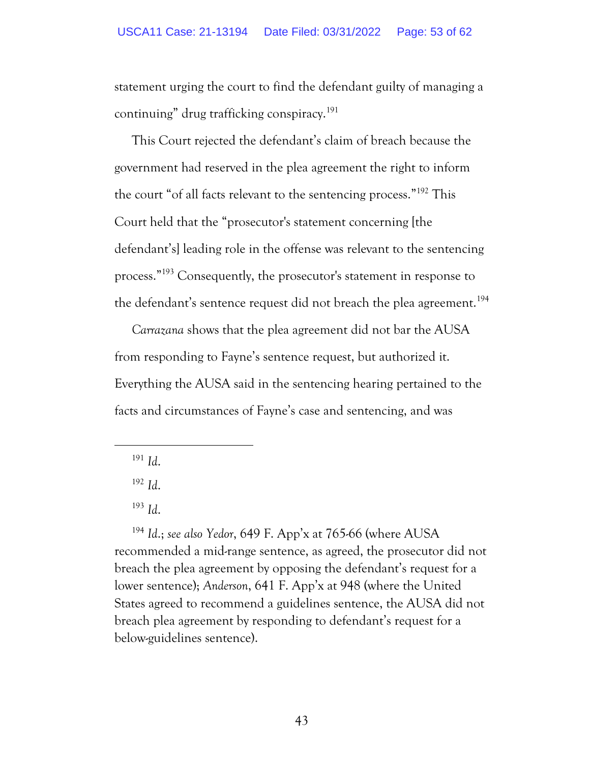statement urging the court to find the defendant guilty of managing a continuing" drug trafficking conspiracy.<sup>191</sup>

This Court rejected the defendant's claim of breach because the government had reserved in the plea agreement the right to inform the court "of all facts relevant to the sentencing process." <sup>192</sup> This Court held that the "prosecutor's statement concerning [the defendant's] leading role in the offense was relevant to the sentencing process."<sup>193</sup> Consequently, the prosecutor's statement in response to the defendant's sentence request did not breach the plea agreement.<sup>194</sup>

*Carrazana* shows that the plea agreement did not bar the AUSA from responding to Fayne's sentence request, but authorized it. Everything the AUSA said in the sentencing hearing pertained to the facts and circumstances of Fayne's case and sentencing, and was

<sup>194</sup> *Id*.; *see also Yedor*, 649 F. App'x at 765-66 (where AUSA recommended a mid-range sentence, as agreed, the prosecutor did not breach the plea agreement by opposing the defendant's request for a lower sentence); *Anderson*, 641 F. App'x at 948 (where the United States agreed to recommend a guidelines sentence, the AUSA did not breach plea agreement by responding to defendant's request for a below-guidelines sentence).

<sup>191</sup> *Id*.

<sup>192</sup> *Id*.

<sup>193</sup> *Id*.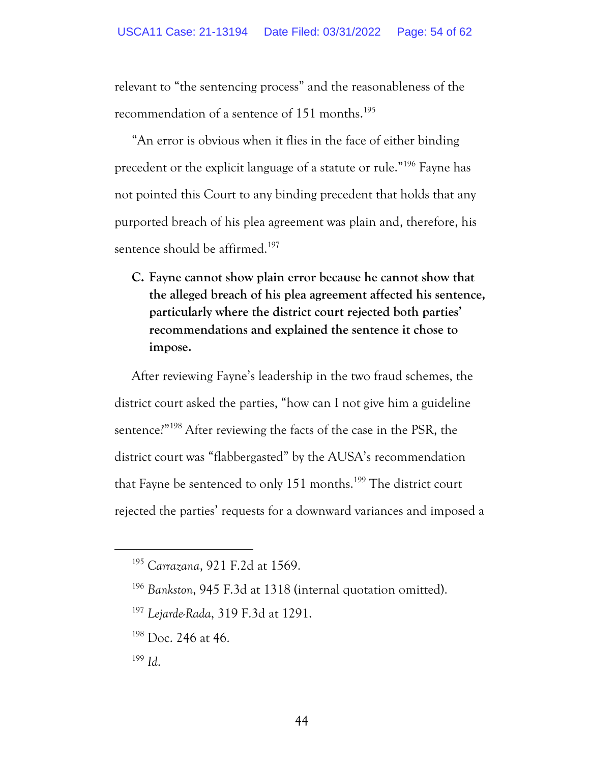relevant to "the sentencing process" and the reasonableness of the recommendation of a sentence of 151 months.<sup>195</sup>

"An error is obvious when it flies in the face of either binding precedent or the explicit language of a statute or rule."<sup>196</sup> Fayne has not pointed this Court to any binding precedent that holds that any purported breach of his plea agreement was plain and, therefore, his sentence should be affirmed. 197

**C. Fayne cannot show plain error because he cannot show that the alleged breach of his plea agreement affected his sentence, particularly where the district court rejected both parties' recommendations and explained the sentence it chose to impose.**

After reviewing Fayne's leadership in the two fraud schemes, the district court asked the parties, "how can I not give him a guideline sentence?" <sup>198</sup> After reviewing the facts of the case in the PSR, the district court was "flabbergasted" by the AUSA's recommendation that Fayne be sentenced to only 151 months.<sup>199</sup> The district court rejected the parties' requests for a downward variances and imposed a

<sup>195</sup> *Carrazana*, 921 F.2d at 1569.

<sup>196</sup> *Bankston*, 945 F.3d at 1318 (internal quotation omitted).

<sup>197</sup> *Lejarde-Rada*, 319 F.3d at 1291.

<sup>&</sup>lt;sup>198</sup> Doc. 246 at 46.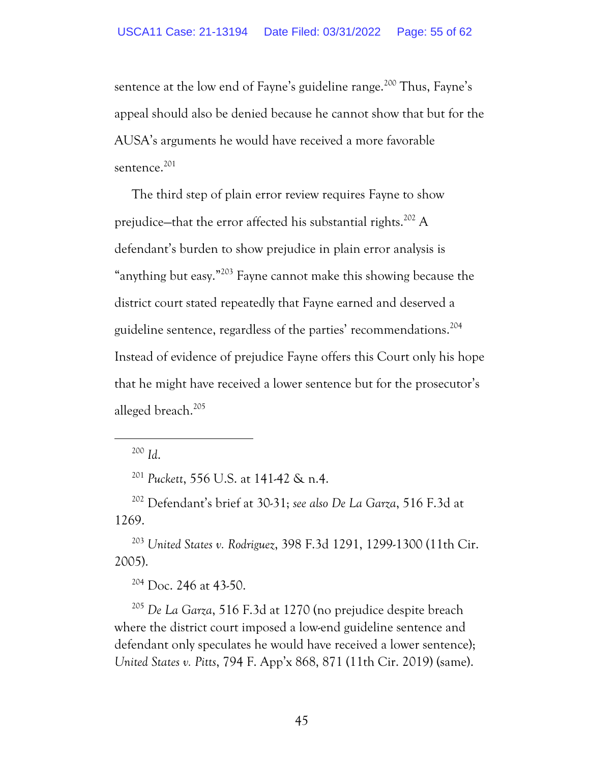sentence at the low end of Fayne's guideline range.<sup>200</sup> Thus, Fayne's appeal should also be denied because he cannot show that but for the AUSA's arguments he would have received a more favorable sentence.<sup>201</sup>

The third step of plain error review requires Fayne to show prejudice—that the error affected his substantial rights.<sup>202</sup> A defendant's burden to show prejudice in plain error analysis is "anything but easy."<sup>203</sup> Fayne cannot make this showing because the district court stated repeatedly that Fayne earned and deserved a guideline sentence, regardless of the parties' recommendations. 204 Instead of evidence of prejudice Fayne offers this Court only his hope that he might have received a lower sentence but for the prosecutor's alleged breach. 205

<sup>200</sup> *Id*.

<sup>201</sup> *Puckett*, 556 U.S. at 141-42 & n.4.

<sup>202</sup> Defendant's brief at 30-31; *see also De La Garza*, 516 F.3d at 1269.

<sup>203</sup> *United States v. Rodriguez*, 398 F.3d 1291, 1299-1300 (11th Cir. 2005).

<sup>204</sup> Doc. 246 at 43-50.

<sup>205</sup> *De La Garza*, 516 F.3d at 1270 (no prejudice despite breach where the district court imposed a low-end guideline sentence and defendant only speculates he would have received a lower sentence); *United States v. Pitts*, 794 F. App'x 868, 871 (11th Cir. 2019) (same).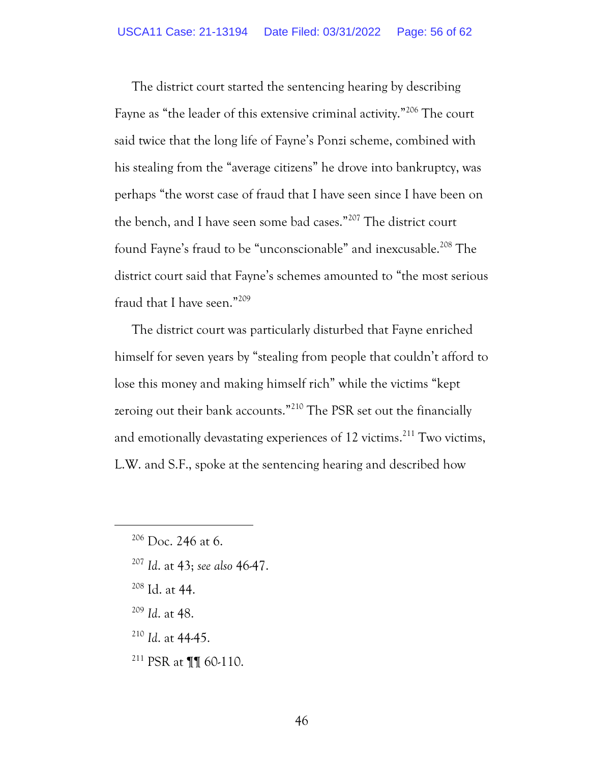The district court started the sentencing hearing by describing Fayne as "the leader of this extensive criminal activity."<sup>206</sup> The court said twice that the long life of Fayne's Ponzi scheme, combined with his stealing from the "average citizens" he drove into bankruptcy, was perhaps "the worst case of fraud that I have seen since I have been on the bench, and I have seen some bad cases."<sup>207</sup> The district court found Fayne's fraud to be "unconscionable" and inexcusable.<sup>208</sup> The district court said that Fayne's schemes amounted to "the most serious fraud that I have seen."<sup>209</sup>

The district court was particularly disturbed that Fayne enriched himself for seven years by "stealing from people that couldn't afford to lose this money and making himself rich" while the victims "kept zeroing out their bank accounts."<sup>210</sup> The PSR set out the financially and emotionally devastating experiences of 12 victims.<sup>211</sup> Two victims, L.W. and S.F., spoke at the sentencing hearing and described how

- <sup>207</sup> *Id*. at 43; *see also* 46-47.
- <sup>208</sup> Id. at 44.
- <sup>209</sup> *Id*. at 48.
- <sup>210</sup> *Id*. at 44-45.
- <sup>211</sup> PSR at ¶¶ 60-110.

 $206$  Doc. 246 at 6.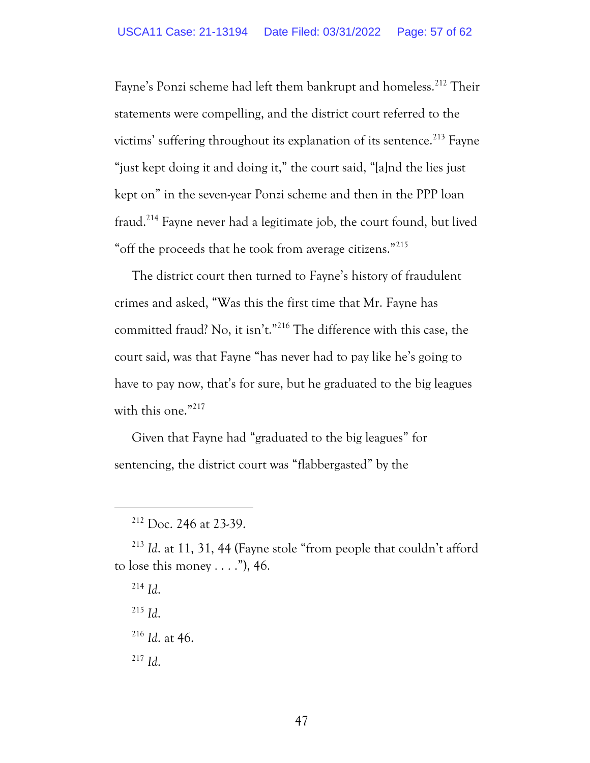Fayne's Ponzi scheme had left them bankrupt and homeless.<sup>212</sup> Their statements were compelling, and the district court referred to the victims' suffering throughout its explanation of its sentence.<sup>213</sup> Fayne "just kept doing it and doing it," the court said, "[a]nd the lies just kept on" in the seven-year Ponzi scheme and then in the PPP loan fraud.<sup>214</sup> Fayne never had a legitimate job, the court found, but lived "off the proceeds that he took from average citizens."<sup>215</sup>

The district court then turned to Fayne's history of fraudulent crimes and asked, "Was this the first time that Mr. Fayne has committed fraud? No, it isn't."<sup>216</sup> The difference with this case, the court said, was that Fayne "has never had to pay like he's going to have to pay now, that's for sure, but he graduated to the big leagues with this one."<sup>217</sup>

Given that Fayne had "graduated to the big leagues" for sentencing, the district court was "flabbergasted" by the

- <sup>215</sup> *Id*.
- <sup>216</sup> *Id*. at 46.

<sup>212</sup> Doc. 246 at 23-39.

<sup>213</sup> *Id*. at 11, 31, 44 (Fayne stole "from people that couldn't afford to lose this money . . . ."), 46.

 $^{214}$  *Id.*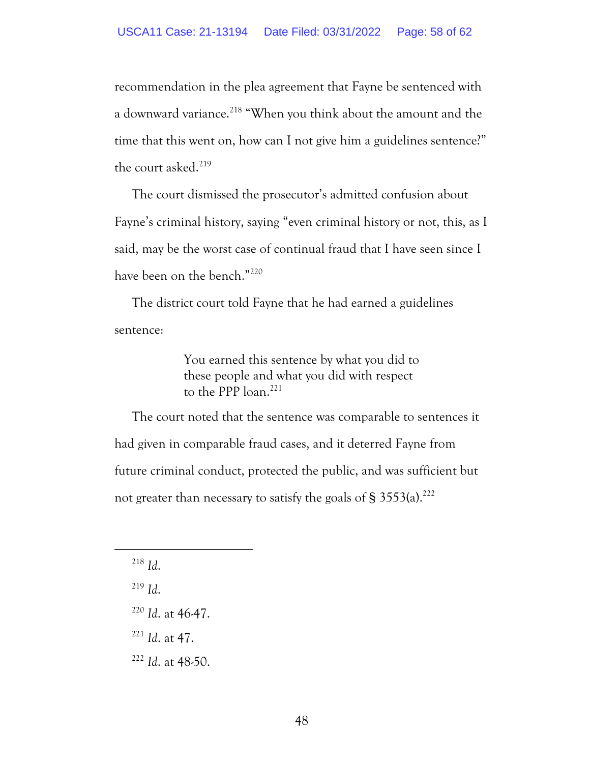recommendation in the plea agreement that Fayne be sentenced with a downward variance.<sup>218</sup> "When you think about the amount and the time that this went on, how can I not give him a guidelines sentence?" the court asked.<sup>219</sup>

The court dismissed the prosecutor's admitted confusion about Fayne's criminal history, saying "even criminal history or not, this, as I said, may be the worst case of continual fraud that I have seen since I have been on the bench."<sup>220</sup>

The district court told Fayne that he had earned a guidelines sentence:

> You earned this sentence by what you did to these people and what you did with respect to the PPP loan.<sup>221</sup>

The court noted that the sentence was comparable to sentences it had given in comparable fraud cases, and it deterred Fayne from future criminal conduct, protected the public, and was sufficient but not greater than necessary to satisfy the goals of  $\S$  3553(a).<sup>222</sup>

 $^{219}$  *Id.* 

<sup>221</sup> *Id*. at 47.

<sup>222</sup> *Id*. at 48-50.

<sup>218</sup> *Id*.

<sup>220</sup> *Id*. at 46-47.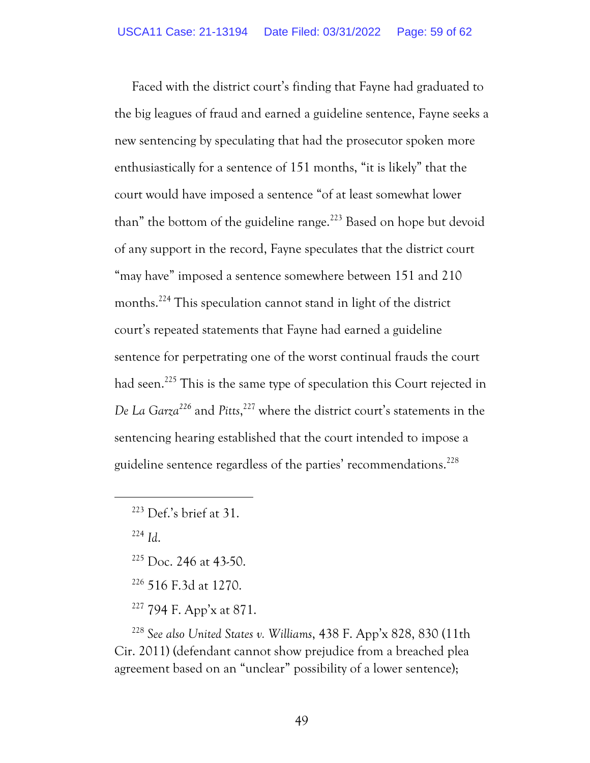Faced with the district court's finding that Fayne had graduated to the big leagues of fraud and earned a guideline sentence, Fayne seeks a new sentencing by speculating that had the prosecutor spoken more enthusiastically for a sentence of 151 months, "it is likely" that the court would have imposed a sentence "of at least somewhat lower than" the bottom of the guideline range.<sup>223</sup> Based on hope but devoid of any support in the record, Fayne speculates that the district court "may have" imposed a sentence somewhere between 151 and 210 months.<sup>224</sup> This speculation cannot stand in light of the district court's repeated statements that Fayne had earned a guideline sentence for perpetrating one of the worst continual frauds the court had seen.<sup>225</sup> This is the same type of speculation this Court rejected in *De La Garza<sup>226</sup>* and *Pitts*, <sup>227</sup> where the district court's statements in the sentencing hearing established that the court intended to impose a guideline sentence regardless of the parties' recommendations.<sup>228</sup>

<sup>224</sup> *Id*.

- $225$  Doc. 246 at 43-50.
- <sup>226</sup> 516 F.3d at 1270.
- <sup>227</sup> 794 F. App'x at 871.

<sup>228</sup> *See also United States v. Williams*, 438 F. App'x 828, 830 (11th Cir. 2011) (defendant cannot show prejudice from a breached plea agreement based on an "unclear" possibility of a lower sentence);

 $223$  Def.'s brief at 31.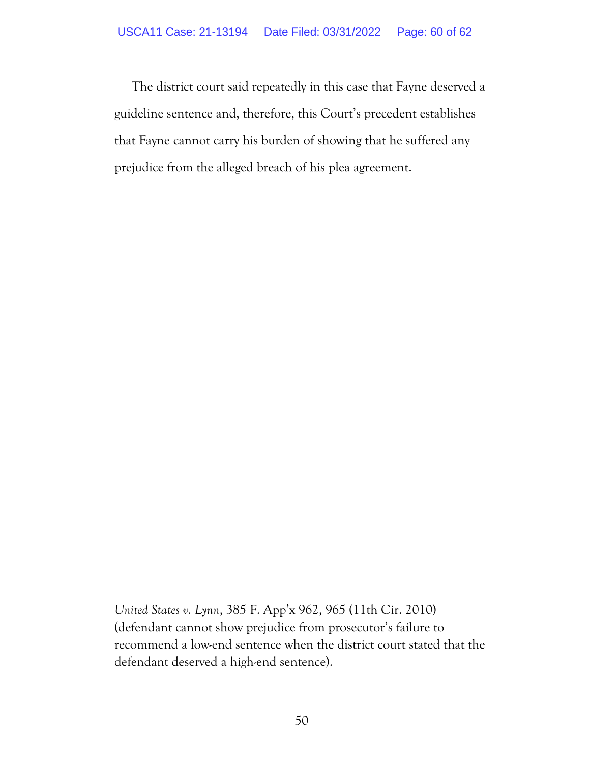The district court said repeatedly in this case that Fayne deserved a guideline sentence and, therefore, this Court's precedent establishes that Fayne cannot carry his burden of showing that he suffered any prejudice from the alleged breach of his plea agreement.

*United States v. Lynn*, 385 F. App'x 962, 965 (11th Cir. 2010) (defendant cannot show prejudice from prosecutor's failure to recommend a low-end sentence when the district court stated that the defendant deserved a high-end sentence).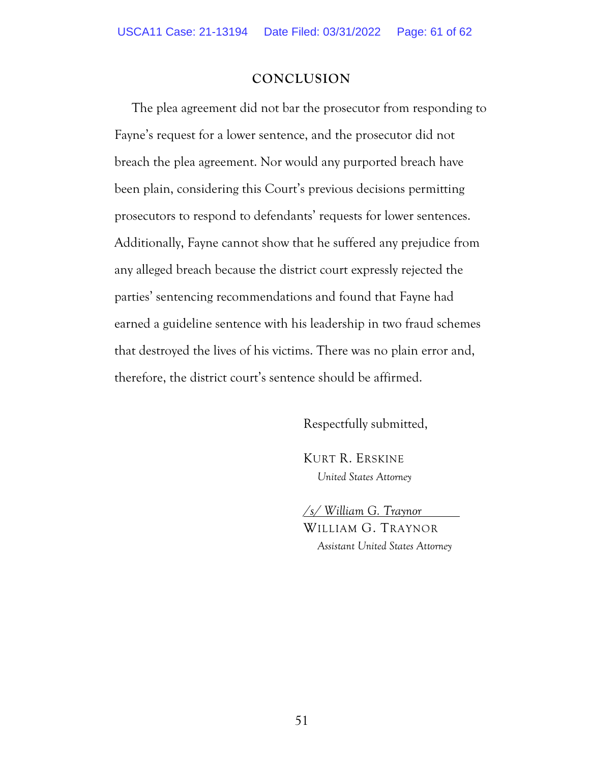#### **CONCLUSION**

The plea agreement did not bar the prosecutor from responding to Fayne's request for a lower sentence, and the prosecutor did not breach the plea agreement. Nor would any purported breach have been plain, considering this Court's previous decisions permitting prosecutors to respond to defendants' requests for lower sentences. Additionally, Fayne cannot show that he suffered any prejudice from any alleged breach because the district court expressly rejected the parties' sentencing recommendations and found that Fayne had earned a guideline sentence with his leadership in two fraud schemes that destroyed the lives of his victims. There was no plain error and, therefore, the district court's sentence should be affirmed.

Respectfully submitted,

KURT R. ERSKINE *United States Attorney*

*/s/ William G. Traynor* WILLIAM G. TRAYNOR *Assistant United States Attorney*